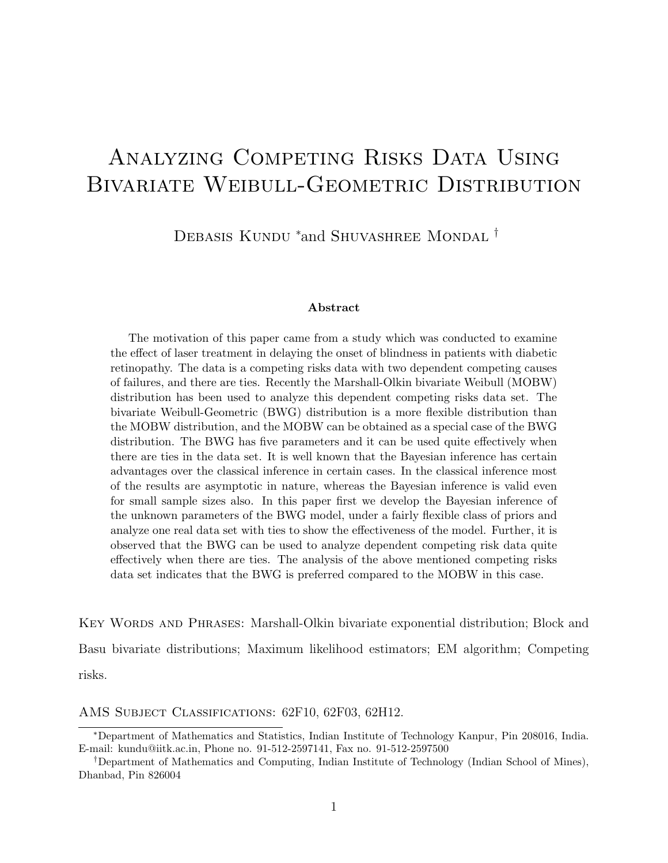# ANALYZING COMPETING RISKS DATA USING BIVARIATE WEIBULL-GEOMETRIC DISTRIBUTION

DEBASIS KUNDU <sup>\*</sup>and SHUVASHREE MONDAL <sup>†</sup>

#### Abstract

The motivation of this paper came from a study which was conducted to examine the effect of laser treatment in delaying the onset of blindness in patients with diabetic retinopathy. The data is a competing risks data with two dependent competing causes of failures, and there are ties. Recently the Marshall-Olkin bivariate Weibull (MOBW) distribution has been used to analyze this dependent competing risks data set. The bivariate Weibull-Geometric (BWG) distribution is a more flexible distribution than the MOBW distribution, and the MOBW can be obtained as a special case of the BWG distribution. The BWG has five parameters and it can be used quite effectively when there are ties in the data set. It is well known that the Bayesian inference has certain advantages over the classical inference in certain cases. In the classical inference most of the results are asymptotic in nature, whereas the Bayesian inference is valid even for small sample sizes also. In this paper first we develop the Bayesian inference of the unknown parameters of the BWG model, under a fairly flexible class of priors and analyze one real data set with ties to show the effectiveness of the model. Further, it is observed that the BWG can be used to analyze dependent competing risk data quite effectively when there are ties. The analysis of the above mentioned competing risks data set indicates that the BWG is preferred compared to the MOBW in this case.

Key Words and Phrases: Marshall-Olkin bivariate exponential distribution; Block and Basu bivariate distributions; Maximum likelihood estimators; EM algorithm; Competing risks.

AMS Subject Classifications: 62F10, 62F03, 62H12.

<sup>∗</sup>Department of Mathematics and Statistics, Indian Institute of Technology Kanpur, Pin 208016, India. E-mail: kundu@iitk.ac.in, Phone no. 91-512-2597141, Fax no. 91-512-2597500

<sup>†</sup>Department of Mathematics and Computing, Indian Institute of Technology (Indian School of Mines), Dhanbad, Pin 826004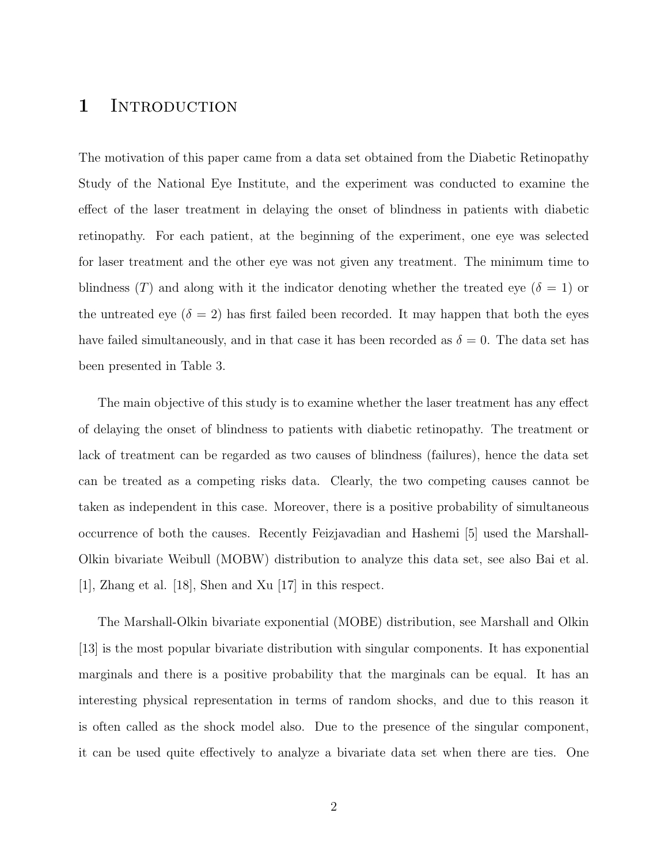## 1 INTRODUCTION

The motivation of this paper came from a data set obtained from the Diabetic Retinopathy Study of the National Eye Institute, and the experiment was conducted to examine the effect of the laser treatment in delaying the onset of blindness in patients with diabetic retinopathy. For each patient, at the beginning of the experiment, one eye was selected for laser treatment and the other eye was not given any treatment. The minimum time to blindness (T) and along with it the indicator denoting whether the treated eye ( $\delta = 1$ ) or the untreated eye ( $\delta = 2$ ) has first failed been recorded. It may happen that both the eyes have failed simultaneously, and in that case it has been recorded as  $\delta = 0$ . The data set has been presented in Table 3.

The main objective of this study is to examine whether the laser treatment has any effect of delaying the onset of blindness to patients with diabetic retinopathy. The treatment or lack of treatment can be regarded as two causes of blindness (failures), hence the data set can be treated as a competing risks data. Clearly, the two competing causes cannot be taken as independent in this case. Moreover, there is a positive probability of simultaneous occurrence of both the causes. Recently Feizjavadian and Hashemi [5] used the Marshall-Olkin bivariate Weibull (MOBW) distribution to analyze this data set, see also Bai et al. [1], Zhang et al. [18], Shen and Xu [17] in this respect.

The Marshall-Olkin bivariate exponential (MOBE) distribution, see Marshall and Olkin [13] is the most popular bivariate distribution with singular components. It has exponential marginals and there is a positive probability that the marginals can be equal. It has an interesting physical representation in terms of random shocks, and due to this reason it is often called as the shock model also. Due to the presence of the singular component, it can be used quite effectively to analyze a bivariate data set when there are ties. One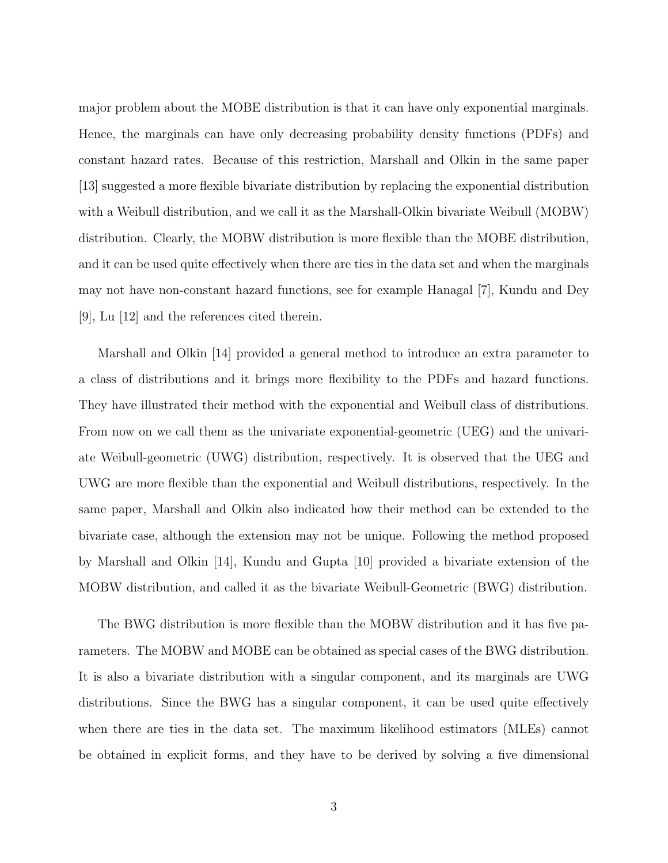major problem about the MOBE distribution is that it can have only exponential marginals. Hence, the marginals can have only decreasing probability density functions (PDFs) and constant hazard rates. Because of this restriction, Marshall and Olkin in the same paper [13] suggested a more flexible bivariate distribution by replacing the exponential distribution with a Weibull distribution, and we call it as the Marshall-Olkin bivariate Weibull (MOBW) distribution. Clearly, the MOBW distribution is more flexible than the MOBE distribution, and it can be used quite effectively when there are ties in the data set and when the marginals may not have non-constant hazard functions, see for example Hanagal [7], Kundu and Dey [9], Lu [12] and the references cited therein.

Marshall and Olkin [14] provided a general method to introduce an extra parameter to a class of distributions and it brings more flexibility to the PDFs and hazard functions. They have illustrated their method with the exponential and Weibull class of distributions. From now on we call them as the univariate exponential-geometric (UEG) and the univariate Weibull-geometric (UWG) distribution, respectively. It is observed that the UEG and UWG are more flexible than the exponential and Weibull distributions, respectively. In the same paper, Marshall and Olkin also indicated how their method can be extended to the bivariate case, although the extension may not be unique. Following the method proposed by Marshall and Olkin [14], Kundu and Gupta [10] provided a bivariate extension of the MOBW distribution, and called it as the bivariate Weibull-Geometric (BWG) distribution.

The BWG distribution is more flexible than the MOBW distribution and it has five parameters. The MOBW and MOBE can be obtained as special cases of the BWG distribution. It is also a bivariate distribution with a singular component, and its marginals are UWG distributions. Since the BWG has a singular component, it can be used quite effectively when there are ties in the data set. The maximum likelihood estimators (MLEs) cannot be obtained in explicit forms, and they have to be derived by solving a five dimensional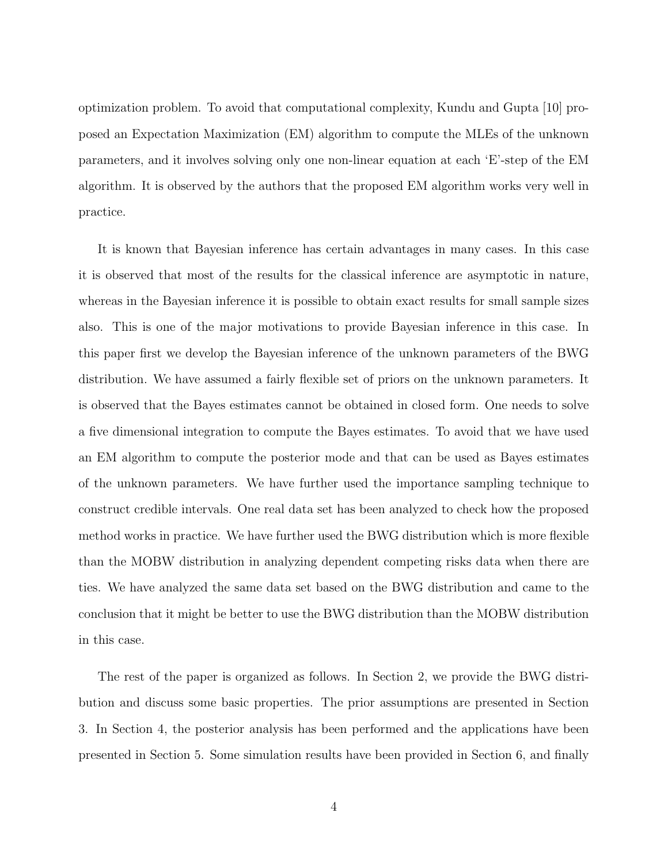optimization problem. To avoid that computational complexity, Kundu and Gupta [10] proposed an Expectation Maximization (EM) algorithm to compute the MLEs of the unknown parameters, and it involves solving only one non-linear equation at each 'E'-step of the EM algorithm. It is observed by the authors that the proposed EM algorithm works very well in practice.

It is known that Bayesian inference has certain advantages in many cases. In this case it is observed that most of the results for the classical inference are asymptotic in nature, whereas in the Bayesian inference it is possible to obtain exact results for small sample sizes also. This is one of the major motivations to provide Bayesian inference in this case. In this paper first we develop the Bayesian inference of the unknown parameters of the BWG distribution. We have assumed a fairly flexible set of priors on the unknown parameters. It is observed that the Bayes estimates cannot be obtained in closed form. One needs to solve a five dimensional integration to compute the Bayes estimates. To avoid that we have used an EM algorithm to compute the posterior mode and that can be used as Bayes estimates of the unknown parameters. We have further used the importance sampling technique to construct credible intervals. One real data set has been analyzed to check how the proposed method works in practice. We have further used the BWG distribution which is more flexible than the MOBW distribution in analyzing dependent competing risks data when there are ties. We have analyzed the same data set based on the BWG distribution and came to the conclusion that it might be better to use the BWG distribution than the MOBW distribution in this case.

The rest of the paper is organized as follows. In Section 2, we provide the BWG distribution and discuss some basic properties. The prior assumptions are presented in Section 3. In Section 4, the posterior analysis has been performed and the applications have been presented in Section 5. Some simulation results have been provided in Section 6, and finally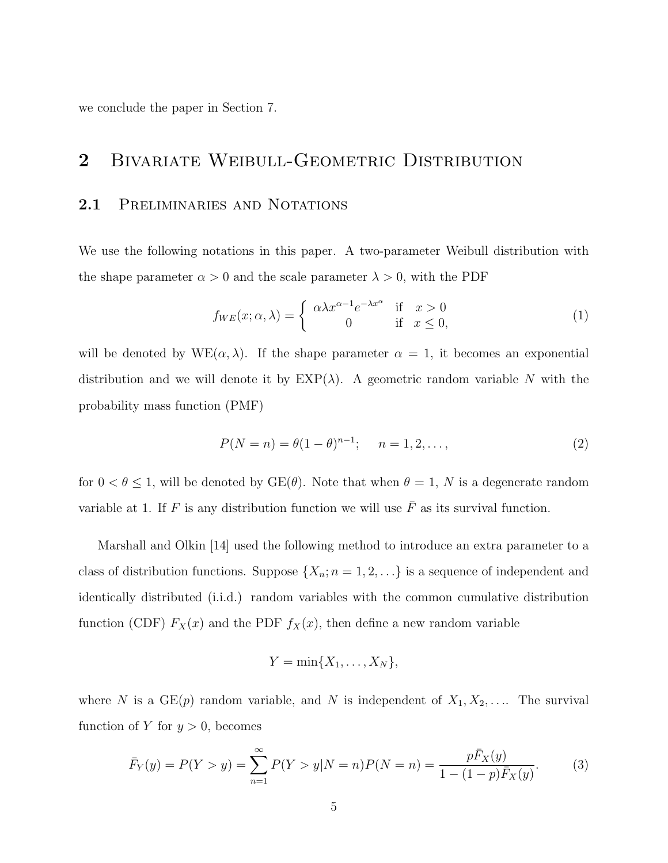we conclude the paper in Section 7.

# 2 BIVARIATE WEIBULL-GEOMETRIC DISTRIBUTION

#### 2.1 PRELIMINARIES AND NOTATIONS

We use the following notations in this paper. A two-parameter Weibull distribution with the shape parameter  $\alpha > 0$  and the scale parameter  $\lambda > 0$ , with the PDF

$$
f_{WE}(x; \alpha, \lambda) = \begin{cases} \alpha \lambda x^{\alpha - 1} e^{-\lambda x^{\alpha}} & \text{if } x > 0\\ 0 & \text{if } x \le 0, \end{cases}
$$
 (1)

will be denoted by  $WE(\alpha, \lambda)$ . If the shape parameter  $\alpha = 1$ , it becomes an exponential distribution and we will denote it by  $EXP(\lambda)$ . A geometric random variable N with the probability mass function (PMF)

$$
P(N = n) = \theta(1 - \theta)^{n-1}; \quad n = 1, 2, \dots,
$$
\n(2)

for  $0 < \theta \le 1$ , will be denoted by  $GE(\theta)$ . Note that when  $\theta = 1$ , N is a degenerate random variable at 1. If F is any distribution function we will use  $\bar{F}$  as its survival function.

Marshall and Olkin [14] used the following method to introduce an extra parameter to a class of distribution functions. Suppose  $\{X_n; n = 1, 2, \ldots\}$  is a sequence of independent and identically distributed (i.i.d.) random variables with the common cumulative distribution function (CDF)  $F_X(x)$  and the PDF  $f_X(x)$ , then define a new random variable

$$
Y=\min\{X_1,\ldots,X_N\},\
$$

where N is a  $GE(p)$  random variable, and N is independent of  $X_1, X_2, \ldots$  The survival function of Y for  $y > 0$ , becomes

$$
\bar{F}_Y(y) = P(Y > y) = \sum_{n=1}^{\infty} P(Y > y | N = n) P(N = n) = \frac{p\bar{F}_X(y)}{1 - (1 - p)\bar{F}_X(y)}.
$$
 (3)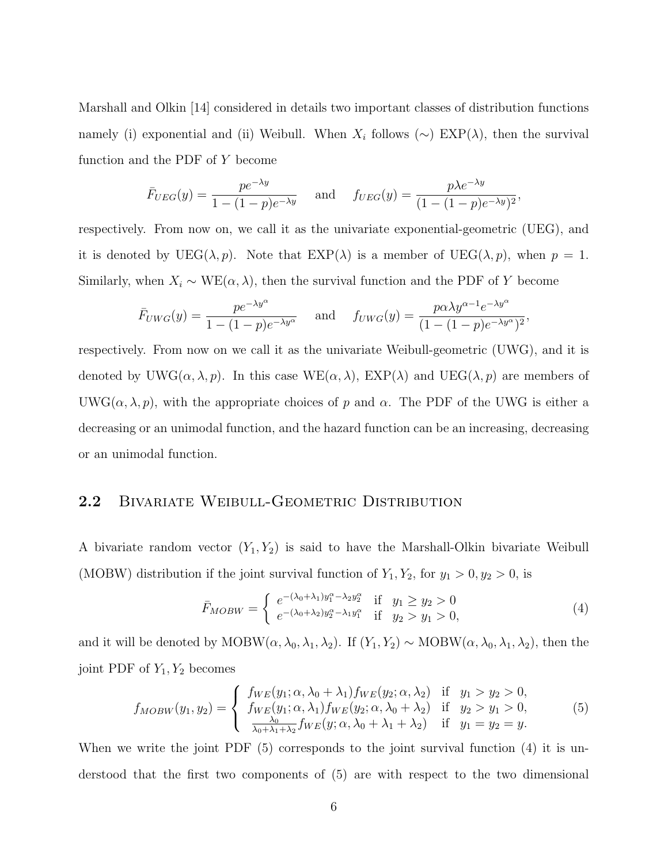Marshall and Olkin [14] considered in details two important classes of distribution functions namely (i) exponential and (ii) Weibull. When  $X_i$  follows ( $\sim$ ) EXP( $\lambda$ ), then the survival function and the PDF of Y become

$$
\bar{F}_{UEG}(y) = \frac{pe^{-\lambda y}}{1 - (1 - p)e^{-\lambda y}}
$$
 and  $f_{UEG}(y) = \frac{p\lambda e^{-\lambda y}}{(1 - (1 - p)e^{-\lambda y})^2}$ ,

respectively. From now on, we call it as the univariate exponential-geometric (UEG), and it is denoted by  $UEG(\lambda, p)$ . Note that  $EXP(\lambda)$  is a member of  $UEG(\lambda, p)$ , when  $p = 1$ . Similarly, when  $X_i \sim \text{WE}(\alpha, \lambda)$ , then the survival function and the PDF of Y become

$$
\bar{F}_{UWG}(y) = \frac{p e^{-\lambda y^{\alpha}}}{1 - (1 - p)e^{-\lambda y^{\alpha}}} \quad \text{and} \quad f_{UWG}(y) = \frac{p \alpha \lambda y^{\alpha - 1} e^{-\lambda y^{\alpha}}}{(1 - (1 - p)e^{-\lambda y^{\alpha}})^{2}},
$$

respectively. From now on we call it as the univariate Weibull-geometric (UWG), and it is denoted by UWG( $\alpha$ ,  $\lambda$ ,  $p$ ). In this case WE( $\alpha$ ,  $\lambda$ ), EXP( $\lambda$ ) and UEG( $\lambda$ ,  $p$ ) are members of UWG( $\alpha$ ,  $\lambda$ ,  $p$ ), with the appropriate choices of p and  $\alpha$ . The PDF of the UWG is either a decreasing or an unimodal function, and the hazard function can be an increasing, decreasing or an unimodal function.

#### 2.2 BIVARIATE WEIBULL-GEOMETRIC DISTRIBUTION

A bivariate random vector  $(Y_1, Y_2)$  is said to have the Marshall-Olkin bivariate Weibull (MOBW) distribution if the joint survival function of  $Y_1, Y_2$ , for  $y_1 > 0, y_2 > 0$ , is

$$
\bar{F}_{MOBW} = \begin{cases}\ne^{-(\lambda_0 + \lambda_1)y_1^{\alpha} - \lambda_2 y_2^{\alpha}} & \text{if } y_1 \ge y_2 > 0 \\
e^{-(\lambda_0 + \lambda_2)y_2^{\alpha} - \lambda_1 y_1^{\alpha}} & \text{if } y_2 > y_1 > 0,\n\end{cases}
$$
\n(4)

and it will be denoted by MOBW( $\alpha$ ,  $\lambda_0$ ,  $\lambda_1$ ,  $\lambda_2$ ). If  $(Y_1, Y_2) \sim \text{MOBW}(\alpha, \lambda_0, \lambda_1, \lambda_2)$ , then the joint PDF of  $Y_1, Y_2$  becomes

$$
f_{MOBW}(y_1, y_2) = \begin{cases} f_{WE}(y_1; \alpha, \lambda_0 + \lambda_1) f_{WE}(y_2; \alpha, \lambda_2) & \text{if } y_1 > y_2 > 0, \\ f_{WE}(y_1; \alpha, \lambda_1) f_{WE}(y_2; \alpha, \lambda_0 + \lambda_2) & \text{if } y_2 > y_1 > 0, \\ \frac{\lambda_0}{\lambda_0 + \lambda_1 + \lambda_2} f_{WE}(y; \alpha, \lambda_0 + \lambda_1 + \lambda_2) & \text{if } y_1 = y_2 = y. \end{cases}
$$
(5)

When we write the joint PDF (5) corresponds to the joint survival function (4) it is understood that the first two components of (5) are with respect to the two dimensional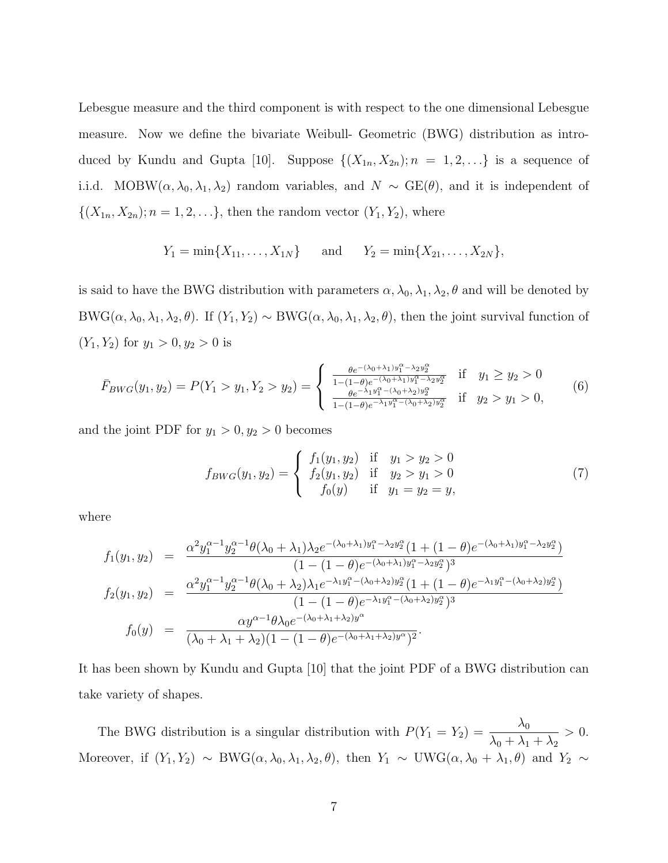Lebesgue measure and the third component is with respect to the one dimensional Lebesgue measure. Now we define the bivariate Weibull- Geometric (BWG) distribution as introduced by Kundu and Gupta [10]. Suppose  $\{(X_{1n}, X_{2n}); n = 1, 2, \ldots\}$  is a sequence of i.i.d. MOBW( $\alpha$ ,  $\lambda_0$ ,  $\lambda_1$ ,  $\lambda_2$ ) random variables, and  $N \sim \text{GE}(\theta)$ , and it is independent of  $\{(X_{1n}, X_{2n}); n = 1, 2, \ldots\},\$  then the random vector  $(Y_1, Y_2)$ , where

$$
Y_1 = \min\{X_{11}, \ldots, X_{1N}\}\
$$
 and  $Y_2 = \min\{X_{21}, \ldots, X_{2N}\},$ 

is said to have the BWG distribution with parameters  $\alpha$ ,  $\lambda_0$ ,  $\lambda_1$ ,  $\lambda_2$ ,  $\theta$  and will be denoted by BWG( $\alpha$ ,  $\lambda_0$ ,  $\lambda_1$ ,  $\lambda_2$ ,  $\theta$ ). If  $(Y_1, Y_2) \sim BWG(\alpha, \lambda_0, \lambda_1, \lambda_2, \theta)$ , then the joint survival function of  $(Y_1, Y_2)$  for  $y_1 > 0, y_2 > 0$  is

$$
\bar{F}_{BWG}(y_1, y_2) = P(Y_1 > y_1, Y_2 > y_2) = \begin{cases} \frac{\theta e^{-(\lambda_0 + \lambda_1)y_1^{\alpha} - \lambda_2 y_2^{\alpha}}}{1 - (1 - \theta)e^{-(\lambda_0 + \lambda_1)y_1^{\alpha} - \lambda_2 y_2^{\alpha}}} & \text{if } y_1 \ge y_2 > 0\\ \frac{\theta e^{-\lambda_1 y_1^{\alpha} - (\lambda_0 + \lambda_2)y_2^{\alpha}}}{1 - (1 - \theta)e^{-(\lambda_1 + \lambda_2)y_2^{\alpha}}} & \text{if } y_2 > y_1 > 0, \end{cases}
$$
(6)

and the joint PDF for  $y_1 > 0, y_2 > 0$  becomes

$$
f_{BWG}(y_1, y_2) = \begin{cases} f_1(y_1, y_2) & \text{if } y_1 > y_2 > 0\\ f_2(y_1, y_2) & \text{if } y_2 > y_1 > 0\\ f_0(y) & \text{if } y_1 = y_2 = y, \end{cases}
$$
(7)

where

$$
f_1(y_1, y_2) = \frac{\alpha^2 y_1^{\alpha - 1} y_2^{\alpha - 1} \theta(\lambda_0 + \lambda_1) \lambda_2 e^{-(\lambda_0 + \lambda_1) y_1^{\alpha} - \lambda_2 y_2^{\alpha}} (1 + (1 - \theta) e^{-(\lambda_0 + \lambda_1) y_1^{\alpha} - \lambda_2 y_2^{\alpha}})}{(1 - (1 - \theta) e^{-(\lambda_0 + \lambda_1) y_1^{\alpha} - \lambda_2 y_2^{\alpha}})^3}
$$
  
\n
$$
f_2(y_1, y_2) = \frac{\alpha^2 y_1^{\alpha - 1} y_2^{\alpha - 1} \theta(\lambda_0 + \lambda_2) \lambda_1 e^{-\lambda_1 y_1^{\alpha} - (\lambda_0 + \lambda_2) y_2^{\alpha}} (1 + (1 - \theta) e^{-\lambda_1 y_1^{\alpha} - (\lambda_0 + \lambda_2) y_2^{\alpha}})}{(1 - (1 - \theta) e^{-\lambda_1 y_1^{\alpha} - (\lambda_0 + \lambda_2) y_2^{\alpha}})^3}
$$
  
\n
$$
f_0(y) = \frac{\alpha y^{\alpha - 1} \theta \lambda_0 e^{-(\lambda_0 + \lambda_1 + \lambda_2) y^{\alpha}}}{(\lambda_0 + \lambda_1 + \lambda_2) (1 - (1 - \theta) e^{-(\lambda_0 + \lambda_1 + \lambda_2) y^{\alpha}})^2}.
$$

It has been shown by Kundu and Gupta [10] that the joint PDF of a BWG distribution can take variety of shapes.

The BWG distribution is a singular distribution with  $P(Y_1 = Y_2) = \frac{\lambda_0}{\lambda_0 + \lambda_0}$  $\lambda_0 + \lambda_1 + \lambda_2$  $> 0.$ Moreover, if  $(Y_1, Y_2) \sim BWG(\alpha, \lambda_0, \lambda_1, \lambda_2, \theta)$ , then  $Y_1 \sim UWG(\alpha, \lambda_0 + \lambda_1, \theta)$  and  $Y_2 \sim$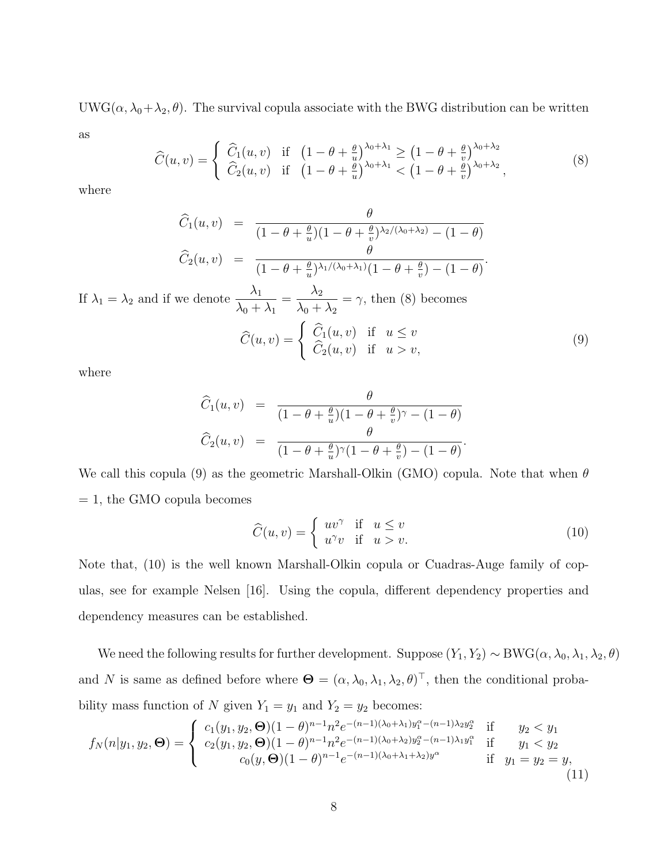UWG( $\alpha$ ,  $\lambda_0 + \lambda_2$ ,  $\theta$ ). The survival copula associate with the BWG distribution can be written as

$$
\widehat{C}(u,v) = \begin{cases}\n\widehat{C}_1(u,v) & \text{if } \left(1 - \theta + \frac{\theta}{u}\right)^{\lambda_0 + \lambda_1} \ge \left(1 - \theta + \frac{\theta}{v}\right)^{\lambda_0 + \lambda_2} \\
\widehat{C}_2(u,v) & \text{if } \left(1 - \theta + \frac{\theta}{u}\right)^{\lambda_0 + \lambda_1} < \left(1 - \theta + \frac{\theta}{v}\right)^{\lambda_0 + \lambda_2},\n\end{cases} \tag{8}
$$

where

$$
\widehat{C}_1(u,v) = \frac{\theta}{(1-\theta+\frac{\theta}{u})(1-\theta+\frac{\theta}{v})^{\lambda_2/(\lambda_0+\lambda_2)}-(1-\theta)} \n\widehat{C}_2(u,v) = \frac{\theta}{(1-\theta+\frac{\theta}{u})^{\lambda_1/(\lambda_0+\lambda_1)}(1-\theta+\frac{\theta}{v})-(1-\theta)}.
$$

If  $\lambda_1 = \lambda_2$  and if we denote  $\frac{\lambda_1}{\lambda_2}$  $\lambda_0 + \lambda_1$  $=\frac{\lambda_2}{\lambda_1}$  $\lambda_0 + \lambda_2$  $=\gamma$ , then (8) becomes

$$
\widehat{C}(u,v) = \begin{cases}\n\widehat{C}_1(u,v) & \text{if } u \le v \\
\widehat{C}_2(u,v) & \text{if } u > v,\n\end{cases}
$$
\n(9)

where

$$
\widehat{C}_1(u,v) = \frac{\theta}{(1-\theta+\frac{\theta}{u})(1-\theta+\frac{\theta}{v})^{\gamma}-(1-\theta)} \n\widehat{C}_2(u,v) = \frac{\theta}{(1-\theta+\frac{\theta}{u})^{\gamma}(1-\theta+\frac{\theta}{v})-(1-\theta)}.
$$

We call this copula (9) as the geometric Marshall-Olkin (GMO) copula. Note that when  $\theta$  $= 1$ , the GMO copula becomes

$$
\widehat{C}(u,v) = \begin{cases} uv^{\gamma} & \text{if } u \le v \\ u^{\gamma}v & \text{if } u > v. \end{cases}
$$
\n(10)

Note that, (10) is the well known Marshall-Olkin copula or Cuadras-Auge family of copulas, see for example Nelsen [16]. Using the copula, different dependency properties and dependency measures can be established.

We need the following results for further development. Suppose  $(Y_1, Y_2) \sim BWG(\alpha, \lambda_0, \lambda_1, \lambda_2, \theta)$ and N is same as defined before where  $\Theta = (\alpha, \lambda_0, \lambda_1, \lambda_2, \theta)^{\top}$ , then the conditional probability mass function of N given  $Y_1 = y_1$  and  $Y_2 = y_2$  becomes:

$$
f_N(n|y_1, y_2, \Theta) = \begin{cases} c_1(y_1, y_2, \Theta)(1-\theta)^{n-1} n^2 e^{-(n-1)(\lambda_0 + \lambda_1) y_1^{\alpha} - (n-1)\lambda_2 y_2^{\alpha}} & \text{if } y_2 < y_1 \\ c_2(y_1, y_2, \Theta)(1-\theta)^{n-1} n^2 e^{-(n-1)(\lambda_0 + \lambda_2) y_2^{\alpha} - (n-1)\lambda_1 y_1^{\alpha}} & \text{if } y_1 < y_2 \\ c_0(y, \Theta)(1-\theta)^{n-1} e^{-(n-1)(\lambda_0 + \lambda_1 + \lambda_2) y^{\alpha}} & \text{if } y_1 = y_2 = y, \end{cases} \tag{11}
$$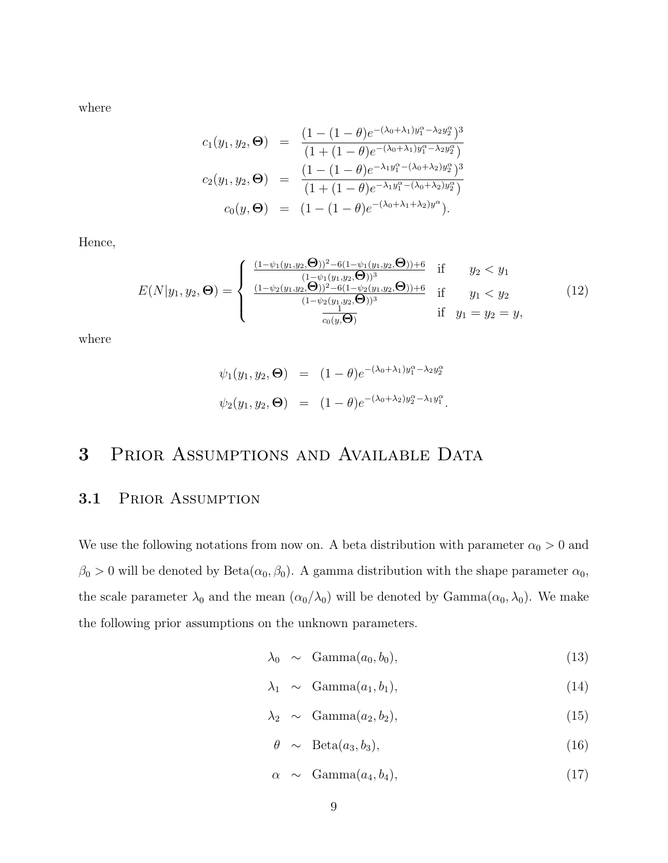where

$$
c_1(y_1, y_2, \Theta) = \frac{(1 - (1 - \theta)e^{-(\lambda_0 + \lambda_1)y_1^{\alpha} - \lambda_2 y_2^{\alpha}})^3}{(1 + (1 - \theta)e^{-(\lambda_0 + \lambda_1)y_1^{\alpha} - \lambda_2 y_2^{\alpha}})}
$$
  
\n
$$
c_2(y_1, y_2, \Theta) = \frac{(1 - (1 - \theta)e^{-\lambda_1 y_1^{\alpha} - (\lambda_0 + \lambda_2)y_2^{\alpha}})^3}{(1 + (1 - \theta)e^{-\lambda_1 y_1^{\alpha} - (\lambda_0 + \lambda_2)y_2^{\alpha}})}
$$
  
\n
$$
c_0(y, \Theta) = (1 - (1 - \theta)e^{-(\lambda_0 + \lambda_1 + \lambda_2)y^{\alpha}}).
$$

Hence,

$$
E(N|y_1, y_2, \Theta) = \begin{cases} \frac{(1-\psi_1(y_1, y_2, \Theta))^2 - 6(1-\psi_1(y_1, y_2, \Theta)) + 6}{(1-\psi_1(y_1, y_2, \Theta))^3} & \text{if} \quad y_2 < y_1\\ \frac{(1-\psi_2(y_1, y_2, \Theta))^2 - 6(1-\psi_2(y_1, y_2, \Theta)) + 6}{(1-\psi_2(y_1, y_2, \Theta))^3} & \text{if} \quad y_1 < y_2\\ \frac{(1-\psi_2(y_1, y_2, \Theta))^2 - 6(1-\psi_2(y_1, y_2, \Theta)) + 6}{c_0(y, \Theta)} & \text{if} \quad y_1 = y_2 = y, \end{cases} \tag{12}
$$

where

$$
\psi_1(y_1, y_2, \Theta) = (1 - \theta)e^{-(\lambda_0 + \lambda_1)y_1^{\alpha} - \lambda_2 y_2^{\alpha}}
$$
  

$$
\psi_2(y_1, y_2, \Theta) = (1 - \theta)e^{-(\lambda_0 + \lambda_2)y_2^{\alpha} - \lambda_1 y_1^{\alpha}}.
$$

# 3 Prior Assumptions and Available Data

### 3.1 PRIOR ASSUMPTION

We use the following notations from now on. A beta distribution with parameter  $\alpha_0 > 0$  and  $\beta_0 > 0$  will be denoted by Beta $(\alpha_0, \beta_0)$ . A gamma distribution with the shape parameter  $\alpha_0$ , the scale parameter  $\lambda_0$  and the mean  $(\alpha_0/\lambda_0)$  will be denoted by Gamma $(\alpha_0, \lambda_0)$ . We make the following prior assumptions on the unknown parameters.

$$
\lambda_0 \sim \text{Gamma}(a_0, b_0), \tag{13}
$$

$$
\lambda_1 \sim \text{Gamma}(a_1, b_1), \tag{14}
$$

$$
\lambda_2 \sim \text{Gamma}(a_2, b_2), \tag{15}
$$

$$
\theta \sim \text{Beta}(a_3, b_3), \tag{16}
$$

$$
\alpha \sim \text{Gamma}(a_4, b_4), \qquad (17)
$$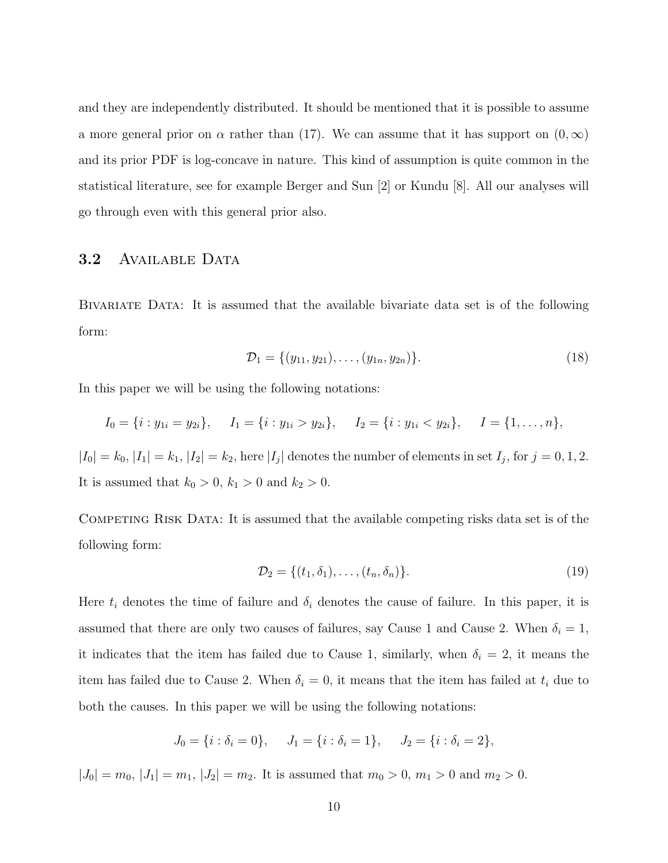and they are independently distributed. It should be mentioned that it is possible to assume a more general prior on  $\alpha$  rather than (17). We can assume that it has support on  $(0,\infty)$ and its prior PDF is log-concave in nature. This kind of assumption is quite common in the statistical literature, see for example Berger and Sun [2] or Kundu [8]. All our analyses will go through even with this general prior also.

#### 3.2 AVAILABLE DATA

Bivariate Data: It is assumed that the available bivariate data set is of the following form:

$$
\mathcal{D}_1 = \{ (y_{11}, y_{21}), \dots, (y_{1n}, y_{2n}) \}.
$$
\n(18)

In this paper we will be using the following notations:

$$
I_0 = \{i : y_{1i} = y_{2i}\},
$$
  $I_1 = \{i : y_{1i} > y_{2i}\},$   $I_2 = \{i : y_{1i} < y_{2i}\},$   $I = \{1, ..., n\},$ 

 $|I_0| = k_0, |I_1| = k_1, |I_2| = k_2$ , here  $|I_j|$  denotes the number of elements in set  $I_j$ , for  $j = 0, 1, 2$ . It is assumed that  $k_0 > 0$ ,  $k_1 > 0$  and  $k_2 > 0$ .

Competing Risk Data: It is assumed that the available competing risks data set is of the following form:

$$
\mathcal{D}_2 = \{(t_1, \delta_1), \dots, (t_n, \delta_n)\}.
$$
\n
$$
(19)
$$

Here  $t_i$  denotes the time of failure and  $\delta_i$  denotes the cause of failure. In this paper, it is assumed that there are only two causes of failures, say Cause 1 and Cause 2. When  $\delta_i = 1$ , it indicates that the item has failed due to Cause 1, similarly, when  $\delta_i = 2$ , it means the item has failed due to Cause 2. When  $\delta_i = 0$ , it means that the item has failed at  $t_i$  due to both the causes. In this paper we will be using the following notations:

$$
J_0 = \{i : \delta_i = 0\}, \quad J_1 = \{i : \delta_i = 1\}, \quad J_2 = \{i : \delta_i = 2\},
$$

 $|J_0| = m_0$ ,  $|J_1| = m_1$ ,  $|J_2| = m_2$ . It is assumed that  $m_0 > 0$ ,  $m_1 > 0$  and  $m_2 > 0$ .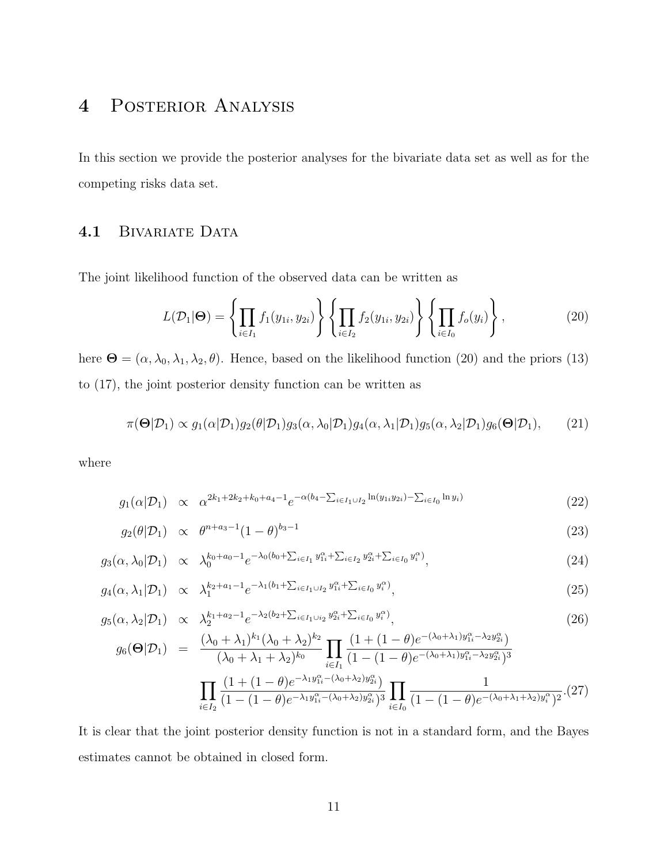# 4 Posterior Analysis

In this section we provide the posterior analyses for the bivariate data set as well as for the competing risks data set.

#### 4.1 BIVARIATE DATA

The joint likelihood function of the observed data can be written as

$$
L(\mathcal{D}_1|\Theta) = \left\{ \prod_{i \in I_1} f_1(y_{1i}, y_{2i}) \right\} \left\{ \prod_{i \in I_2} f_2(y_{1i}, y_{2i}) \right\} \left\{ \prod_{i \in I_0} f_o(y_i) \right\},\tag{20}
$$

here  $\mathbf{\Theta} = (\alpha, \lambda_0, \lambda_1, \lambda_2, \theta)$ . Hence, based on the likelihood function (20) and the priors (13) to (17), the joint posterior density function can be written as

$$
\pi(\Theta|\mathcal{D}_1) \propto g_1(\alpha|\mathcal{D}_1)g_2(\theta|\mathcal{D}_1)g_3(\alpha,\lambda_0|\mathcal{D}_1)g_4(\alpha,\lambda_1|\mathcal{D}_1)g_5(\alpha,\lambda_2|\mathcal{D}_1)g_6(\Theta|\mathcal{D}_1),\tag{21}
$$

where

$$
g_1(\alpha | \mathcal{D}_1) \propto \alpha^{2k_1 + 2k_2 + k_0 + a_4 - 1} e^{-\alpha(b_4 - \sum_{i \in I_1 \cup I_2} \ln(y_{1i} y_{2i}) - \sum_{i \in I_0} \ln y_i)}
$$
(22)

$$
g_2(\theta|\mathcal{D}_1) \propto \theta^{n+a_3-1}(1-\theta)^{b_3-1} \tag{23}
$$

$$
g_3(\alpha, \lambda_0 | \mathcal{D}_1) \propto \lambda_0^{k_0 + a_0 - 1} e^{-\lambda_0 (b_0 + \sum_{i \in I_1} y_{1i}^{\alpha} + \sum_{i \in I_2} y_{2i}^{\alpha} + \sum_{i \in I_0} y_i^{\alpha})}, \tag{24}
$$

$$
g_4(\alpha, \lambda_1 | \mathcal{D}_1) \propto \lambda_1^{k_2 + a_1 - 1} e^{-\lambda_1 (b_1 + \sum_{i \in I_1 \cup I_2} y_{1i}^{\alpha} + \sum_{i \in I_0} y_i^{\alpha})}, \tag{25}
$$

$$
g_5(\alpha, \lambda_2 | \mathcal{D}_1) \propto \lambda_2^{k_1 + a_2 - 1} e^{-\lambda_2 (b_2 + \sum_{i \in I_1 \cup i_2} y_{2i}^{\alpha} + \sum_{i \in I_0} y_i^{\alpha})},
$$
\n
$$
(1 + (1 - 4) \circ e^{-(\lambda_0 + \lambda_1) y_{1i}^{\alpha} - \lambda_2 y_{2i}^{\alpha})}
$$
\n
$$
(26)
$$

$$
g_6(\Theta|\mathcal{D}_1) = \frac{(\lambda_0 + \lambda_1)^{k_1}(\lambda_0 + \lambda_2)^{k_2}}{(\lambda_0 + \lambda_1 + \lambda_2)^{k_0}} \prod_{i \in I_1} \frac{(1 + (1 - \theta)e^{-(\lambda_0 + \lambda_1)y_{1i}^{\alpha} - \lambda_2 y_{2i}^{\alpha})}}{(1 - (1 - \theta)e^{-(\lambda_0 + \lambda_1)y_{1i}^{\alpha} - \lambda_2 y_{2i}^{\alpha})^3}} \prod_{i \in I_2} \frac{(1 + (1 - \theta)e^{-\lambda_1 y_{1i}^{\alpha} - (\lambda_0 + \lambda_2)y_{2i}^{\alpha})}}{(1 - (1 - \theta)e^{-\lambda_1 y_{1i}^{\alpha} - (\lambda_0 + \lambda_2)y_{2i}^{\alpha})^3}} \prod_{i \in I_0} \frac{1}{(1 - (1 - \theta)e^{-(\lambda_0 + \lambda_1 + \lambda_2)y_i^{\alpha}})^2}.
$$
(27)

It is clear that the joint posterior density function is not in a standard form, and the Bayes estimates cannot be obtained in closed form.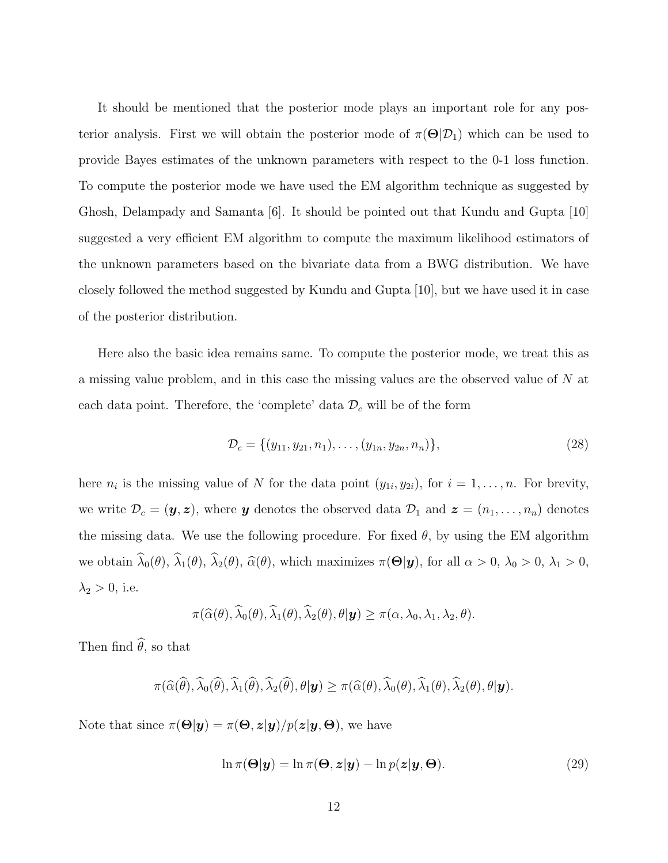It should be mentioned that the posterior mode plays an important role for any posterior analysis. First we will obtain the posterior mode of  $\pi(\Theta|\mathcal{D}_1)$  which can be used to provide Bayes estimates of the unknown parameters with respect to the 0-1 loss function. To compute the posterior mode we have used the EM algorithm technique as suggested by Ghosh, Delampady and Samanta [6]. It should be pointed out that Kundu and Gupta [10] suggested a very efficient EM algorithm to compute the maximum likelihood estimators of the unknown parameters based on the bivariate data from a BWG distribution. We have closely followed the method suggested by Kundu and Gupta [10], but we have used it in case of the posterior distribution.

Here also the basic idea remains same. To compute the posterior mode, we treat this as a missing value problem, and in this case the missing values are the observed value of N at each data point. Therefore, the 'complete' data  $\mathcal{D}_c$  will be of the form

$$
\mathcal{D}_c = \{ (y_{11}, y_{21}, n_1), \dots, (y_{1n}, y_{2n}, n_n) \},\tag{28}
$$

here  $n_i$  is the missing value of N for the data point  $(y_{1i}, y_{2i})$ , for  $i = 1, \ldots, n$ . For brevity, we write  $\mathcal{D}_c = (\mathbf{y}, \mathbf{z})$ , where **y** denotes the observed data  $\mathcal{D}_1$  and  $\mathbf{z} = (n_1, \ldots, n_n)$  denotes the missing data. We use the following procedure. For fixed  $\theta$ , by using the EM algorithm we obtain  $\widehat{\lambda}_0(\theta)$ ,  $\widehat{\lambda}_1(\theta)$ ,  $\widehat{\lambda}_2(\theta)$ ,  $\widehat{\alpha}(\theta)$ , which maximizes  $\pi(\Theta|\mathbf{y})$ , for all  $\alpha > 0$ ,  $\lambda_0 > 0$ ,  $\lambda_1 > 0$ ,  $\lambda_2 > 0$ , i.e.

$$
\pi(\widehat{\alpha}(\theta),\widehat{\lambda}_0(\theta),\widehat{\lambda}_1(\theta),\widehat{\lambda}_2(\theta),\theta|\mathbf{y})\geq \pi(\alpha,\lambda_0,\lambda_1,\lambda_2,\theta).
$$

Then find  $\widehat{\theta}$ , so that

$$
\pi(\widehat{\alpha}(\widehat{\theta}),\widehat{\lambda}_{0}(\widehat{\theta}),\widehat{\lambda}_{1}(\widehat{\theta}),\widehat{\lambda}_{2}(\widehat{\theta}),\theta|\mathbf{y})\geq \pi(\widehat{\alpha}(\theta),\widehat{\lambda}_{0}(\theta),\widehat{\lambda}_{1}(\theta),\widehat{\lambda}_{2}(\theta),\theta|\mathbf{y}).
$$

Note that since  $\pi(\Theta|\mathbf{y}) = \pi(\Theta, \mathbf{z}|\mathbf{y})/p(\mathbf{z}|\mathbf{y}, \Theta)$ , we have

$$
\ln \pi(\Theta | \mathbf{y}) = \ln \pi(\Theta, \mathbf{z} | \mathbf{y}) - \ln p(\mathbf{z} | \mathbf{y}, \Theta).
$$
\n(29)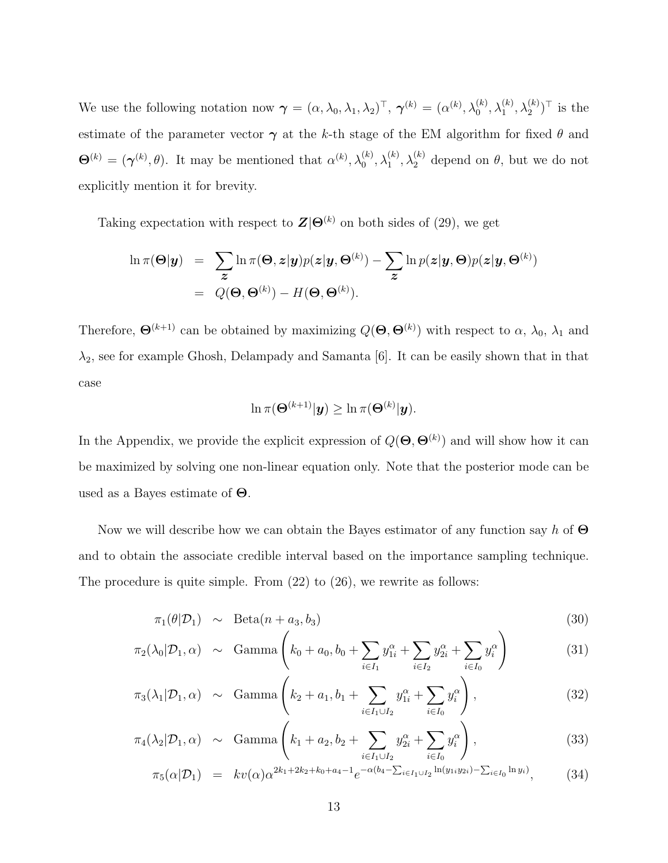We use the following notation now  $\boldsymbol{\gamma} = (\alpha, \lambda_0, \lambda_1, \lambda_2)^\top$ ,  $\boldsymbol{\gamma}^{(k)} = (\alpha^{(k)}, \lambda_0^{(k)}, \lambda_1^{(k)}, \lambda_2^{(k)})^\top$  is the estimate of the parameter vector  $\gamma$  at the k-th stage of the EM algorithm for fixed  $\theta$  and  $\Theta^{(k)} = (\gamma^{(k)}, \theta)$ . It may be mentioned that  $\alpha^{(k)}, \lambda_0^{(k)}, \lambda_1^{(k)}, \lambda_2^{(k)}$  depend on  $\theta$ , but we do not explicitly mention it for brevity.

Taking expectation with respect to  $\mathbf{Z}|\Theta^{(k)}$  on both sides of (29), we get

$$
\ln \pi(\Theta|\mathbf{y}) = \sum_{\mathbf{z}} \ln \pi(\Theta, \mathbf{z}|\mathbf{y}) p(\mathbf{z}|\mathbf{y}, \Theta^{(k)}) - \sum_{\mathbf{z}} \ln p(\mathbf{z}|\mathbf{y}, \Theta) p(\mathbf{z}|\mathbf{y}, \Theta^{(k)})
$$
  
=  $Q(\Theta, \Theta^{(k)}) - H(\Theta, \Theta^{(k)}).$ 

Therefore,  $\Theta^{(k+1)}$  can be obtained by maximizing  $Q(\Theta, \Theta^{(k)})$  with respect to  $\alpha$ ,  $\lambda_0$ ,  $\lambda_1$  and  $\lambda_2$ , see for example Ghosh, Delampady and Samanta [6]. It can be easily shown that in that case

$$
\ln \pi(\boldsymbol{\Theta}^{(k+1)}|\boldsymbol{y}) \geq \ln \pi(\boldsymbol{\Theta}^{(k)}|\boldsymbol{y}).
$$

In the Appendix, we provide the explicit expression of  $Q(\mathbf{\Theta}, \mathbf{\Theta}^{(k)})$  and will show how it can be maximized by solving one non-linear equation only. Note that the posterior mode can be used as a Bayes estimate of  $\Theta$ .

Now we will describe how we can obtain the Bayes estimator of any function say h of  $\Theta$ and to obtain the associate credible interval based on the importance sampling technique. The procedure is quite simple. From (22) to (26), we rewrite as follows:

$$
\pi_1(\theta|\mathcal{D}_1) \sim \text{Beta}(n + a_3, b_3) \tag{30}
$$

$$
\pi_2(\lambda_0 | \mathcal{D}_1, \alpha) \sim \text{Gamma}\left(k_0 + a_0, b_0 + \sum_{i \in I_1} y_{1i}^{\alpha} + \sum_{i \in I_2} y_{2i}^{\alpha} + \sum_{i \in I_0} y_i^{\alpha}\right) \tag{31}
$$

$$
\pi_3(\lambda_1|\mathcal{D}_1,\alpha) \sim \text{Gamma}\left(k_2 + a_1, b_1 + \sum_{i \in I_1 \cup I_2} y_{1i}^\alpha + \sum_{i \in I_0} y_i^\alpha\right),\tag{32}
$$

$$
\pi_4(\lambda_2|\mathcal{D}_1, \alpha) \sim \text{Gamma}\left(k_1 + a_2, b_2 + \sum_{i \in I_1 \cup I_2} y_{2i}^{\alpha} + \sum_{i \in I_0} y_i^{\alpha}\right),
$$
\n(33)

$$
\pi_5(\alpha|\mathcal{D}_1) = kv(\alpha)\alpha^{2k_1+2k_2+k_0+a_4-1}e^{-\alpha(b_4-\sum_{i\in I_1\cup I_2}\ln(y_{1i}y_{2i})-\sum_{i\in I_0}\ln y_i)},\tag{34}
$$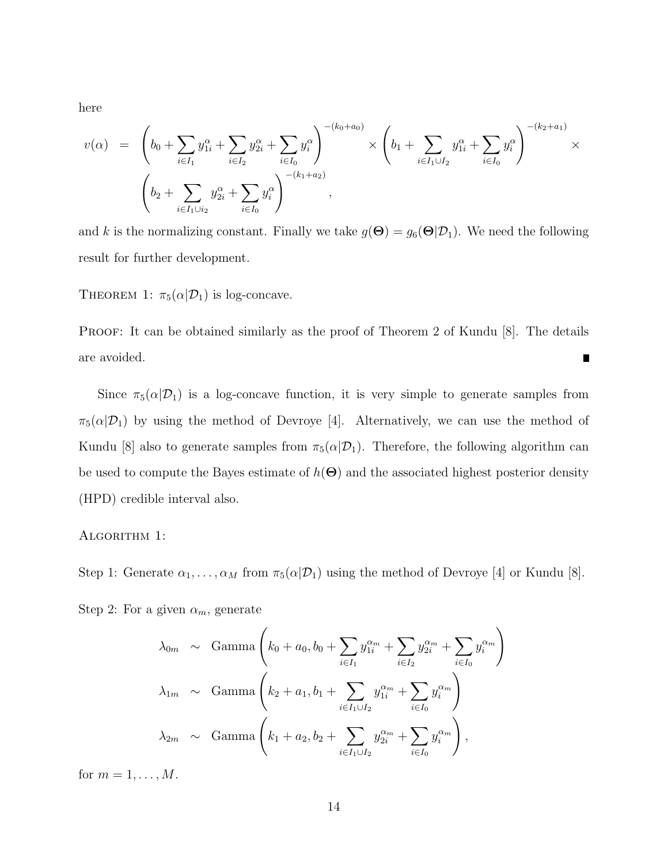here

$$
v(\alpha) = \left(b_0 + \sum_{i \in I_1} y_{1i}^{\alpha} + \sum_{i \in I_2} y_{2i}^{\alpha} + \sum_{i \in I_0} y_i^{\alpha}\right)^{-(k_0 + a_0)} \times \left(b_1 + \sum_{i \in I_1 \cup I_2} y_{1i}^{\alpha} + \sum_{i \in I_0} y_i^{\alpha}\right)^{-(k_2 + a_1)} \times \left(b_2 + \sum_{i \in I_1 \cup i_2} y_{2i}^{\alpha} + \sum_{i \in I_0} y_i^{\alpha}\right)^{-(k_1 + a_2)},
$$

and k is the normalizing constant. Finally we take  $g(\Theta) = g_6(\Theta|\mathcal{D}_1)$ . We need the following result for further development.

THEOREM 1:  $\pi_5(\alpha|\mathcal{D}_1)$  is log-concave.

PROOF: It can be obtained similarly as the proof of Theorem 2 of Kundu [8]. The details are avoided.  $\blacksquare$ 

Since  $\pi_5(\alpha|\mathcal{D}_1)$  is a log-concave function, it is very simple to generate samples from  $\pi_5(\alpha|\mathcal{D}_1)$  by using the method of Devroye [4]. Alternatively, we can use the method of Kundu [8] also to generate samples from  $\pi_5(\alpha|\mathcal{D}_1)$ . Therefore, the following algorithm can be used to compute the Bayes estimate of  $h(\Theta)$  and the associated highest posterior density (HPD) credible interval also.

#### ALGORITHM 1:

Step 1: Generate  $\alpha_1, \ldots, \alpha_M$  from  $\pi_5(\alpha | \mathcal{D}_1)$  using the method of Devroye [4] or Kundu [8].

Step 2: For a given  $\alpha_m$ , generate

$$
\lambda_{0m} \sim \text{Gamma}\left(k_0 + a_0, b_0 + \sum_{i \in I_1} y_{1i}^{\alpha_m} + \sum_{i \in I_2} y_{2i}^{\alpha_m} + \sum_{i \in I_0} y_i^{\alpha_m}\right)
$$
  

$$
\lambda_{1m} \sim \text{Gamma}\left(k_2 + a_1, b_1 + \sum_{i \in I_1 \cup I_2} y_{1i}^{\alpha_m} + \sum_{i \in I_0} y_i^{\alpha_m}\right)
$$
  

$$
\lambda_{2m} \sim \text{Gamma}\left(k_1 + a_2, b_2 + \sum_{i \in I_1 \cup I_2} y_{2i}^{\alpha_m} + \sum_{i \in I_0} y_i^{\alpha_m}\right),
$$

for  $m = 1, \ldots, M$ .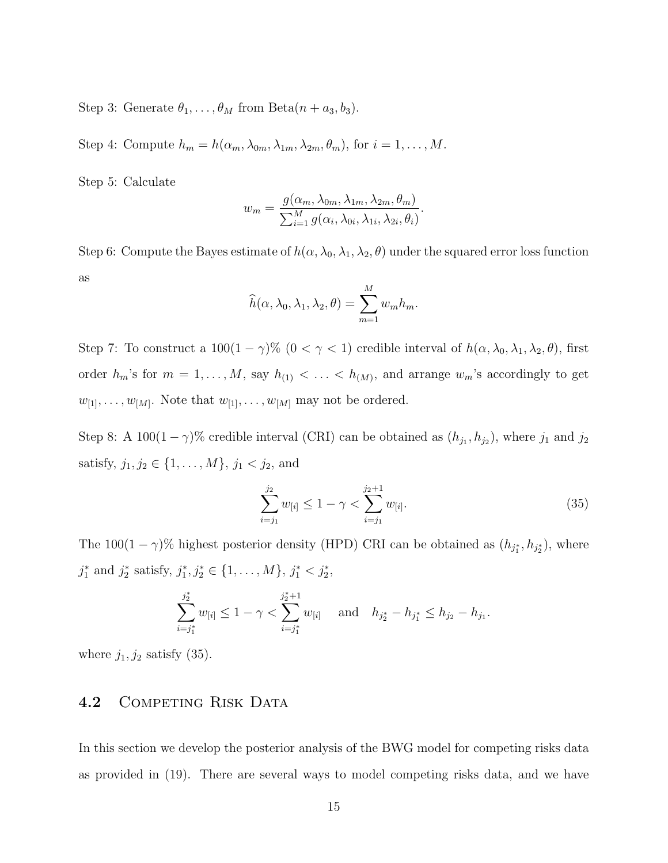Step 3: Generate  $\theta_1, \ldots, \theta_M$  from Beta $(n + a_3, b_3)$ .

Step 4: Compute  $h_m = h(\alpha_m, \lambda_{0m}, \lambda_{1m}, \lambda_{2m}, \theta_m)$ , for  $i = 1, ..., M$ .

Step 5: Calculate

$$
w_m = \frac{g(\alpha_m, \lambda_{0m}, \lambda_{1m}, \lambda_{2m}, \theta_m)}{\sum_{i=1}^M g(\alpha_i, \lambda_{0i}, \lambda_{1i}, \lambda_{2i}, \theta_i)}.
$$

Step 6: Compute the Bayes estimate of  $h(\alpha, \lambda_0, \lambda_1, \lambda_2, \theta)$  under the squared error loss function as  $\overline{M}$ 

$$
\widehat{h}(\alpha, \lambda_0, \lambda_1, \lambda_2, \theta) = \sum_{m=1}^{M} w_m h_m.
$$

Step 7: To construct a  $100(1 - \gamma)\%$   $(0 < \gamma < 1)$  credible interval of  $h(\alpha, \lambda_0, \lambda_1, \lambda_2, \theta)$ , first order  $h_m$ 's for  $m = 1, \ldots, M$ , say  $h_{(1)} < \ldots < h_{(M)}$ , and arrange  $w_m$ 's accordingly to get  $w_{[1]}, \ldots, w_{[M]}$ . Note that  $w_{[1]}, \ldots, w_{[M]}$  may not be ordered.

Step 8: A 100(1 –  $\gamma$ )% credible interval (CRI) can be obtained as  $(h_{j_1}, h_{j_2})$ , where  $j_1$  and  $j_2$ satisfy,  $j_1, j_2 \in \{1, ..., M\}$ ,  $j_1 < j_2$ , and

$$
\sum_{i=j_1}^{j_2} w_{[i]} \le 1 - \gamma < \sum_{i=j_1}^{j_2+1} w_{[i]}.\tag{35}
$$

The 100(1 –  $\gamma$ )% highest posterior density (HPD) CRI can be obtained as  $(h_{j_1^*}, h_{j_2^*})$ , where  $j_1^*$  and  $j_2^*$  satisfy,  $j_1^*, j_2^* \in \{1, \ldots, M\}, j_1^* < j_2^*,$ 

$$
\sum_{i=j_1^*}^{j_2^*} w_{[i]} \le 1 - \gamma < \sum_{i=j_1^*}^{j_2^*+1} w_{[i]} \quad \text{ and} \quad h_{j_2^*} - h_{j_1^*} \le h_{j_2} - h_{j_1}.
$$

where  $j_1, j_2$  satisfy (35).

### 4.2 COMPETING RISK DATA

In this section we develop the posterior analysis of the BWG model for competing risks data as provided in (19). There are several ways to model competing risks data, and we have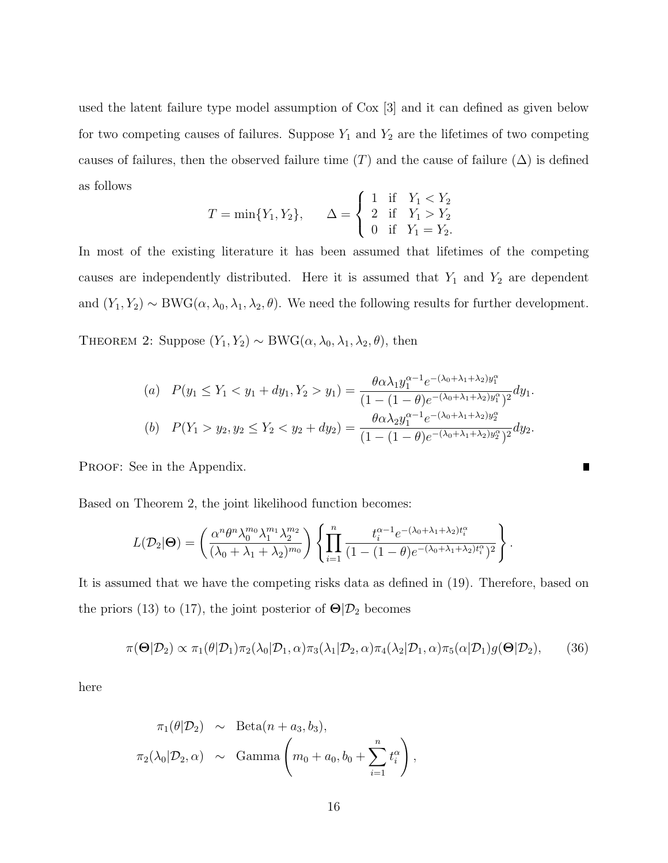used the latent failure type model assumption of Cox [3] and it can defined as given below for two competing causes of failures. Suppose  $Y_1$  and  $Y_2$  are the lifetimes of two competing causes of failures, then the observed failure time  $(T)$  and the cause of failure  $(\Delta)$  is defined as follows  $\epsilon$ 

$$
T = \min\{Y_1, Y_2\}, \qquad \Delta = \begin{cases} 1 & \text{if} \quad Y_1 < Y_2 \\ 2 & \text{if} \quad Y_1 > Y_2 \\ 0 & \text{if} \quad Y_1 = Y_2. \end{cases}
$$

In most of the existing literature it has been assumed that lifetimes of the competing causes are independently distributed. Here it is assumed that  $Y_1$  and  $Y_2$  are dependent and  $(Y_1, Y_2) \sim BWG(\alpha, \lambda_0, \lambda_1, \lambda_2, \theta)$ . We need the following results for further development.

THEOREM 2: Suppose  $(Y_1, Y_2) \sim BWG(\alpha, \lambda_0, \lambda_1, \lambda_2, \theta)$ , then

(a) 
$$
P(y_1 \le Y_1 < y_1 + dy_1, Y_2 > y_1) = \frac{\theta \alpha \lambda_1 y_1^{\alpha - 1} e^{-(\lambda_0 + \lambda_1 + \lambda_2)y_1^{\alpha}}}{(1 - (1 - \theta) e^{-(\lambda_0 + \lambda_1 + \lambda_2)y_1^{\alpha}})^2} dy_1.
$$
  
\n(b)  $P(Y_1 > y_2, y_2 \le Y_2 < y_2 + dy_2) = \frac{\theta \alpha \lambda_2 y_1^{\alpha - 1} e^{-(\lambda_0 + \lambda_1 + \lambda_2)y_2^{\alpha}}}{(1 - (1 - \theta) e^{-(\lambda_0 + \lambda_1 + \lambda_2)y_2^{\alpha}})^2} dy_2.$ 

П

PROOF: See in the Appendix.

Based on Theorem 2, the joint likelihood function becomes:

$$
L(\mathcal{D}_2|\Theta) = \left(\frac{\alpha^n \theta^n \lambda_0^{m_0} \lambda_1^{m_1} \lambda_2^{m_2}}{(\lambda_0 + \lambda_1 + \lambda_2)^{m_0}}\right) \left\{ \prod_{i=1}^n \frac{t_i^{\alpha-1} e^{-(\lambda_0 + \lambda_1 + \lambda_2)t_i^{\alpha}}}{(1 - (1 - \theta) e^{-(\lambda_0 + \lambda_1 + \lambda_2)t_i^{\alpha}})^2} \right\}.
$$

It is assumed that we have the competing risks data as defined in (19). Therefore, based on the priors (13) to (17), the joint posterior of  $\Theta/\mathcal{D}_2$  becomes

$$
\pi(\Theta|\mathcal{D}_2) \propto \pi_1(\theta|\mathcal{D}_1)\pi_2(\lambda_0|\mathcal{D}_1,\alpha)\pi_3(\lambda_1|\mathcal{D}_2,\alpha)\pi_4(\lambda_2|\mathcal{D}_1,\alpha)\pi_5(\alpha|\mathcal{D}_1)g(\Theta|\mathcal{D}_2),\qquad(36)
$$

here

$$
\pi_1(\theta|\mathcal{D}_2) \sim \text{Beta}(n+a_3, b_3),
$$
  

$$
\pi_2(\lambda_0|\mathcal{D}_2, \alpha) \sim \text{Gamma}\left(m_0+a_0, b_0+\sum_{i=1}^n t_i^{\alpha}\right),
$$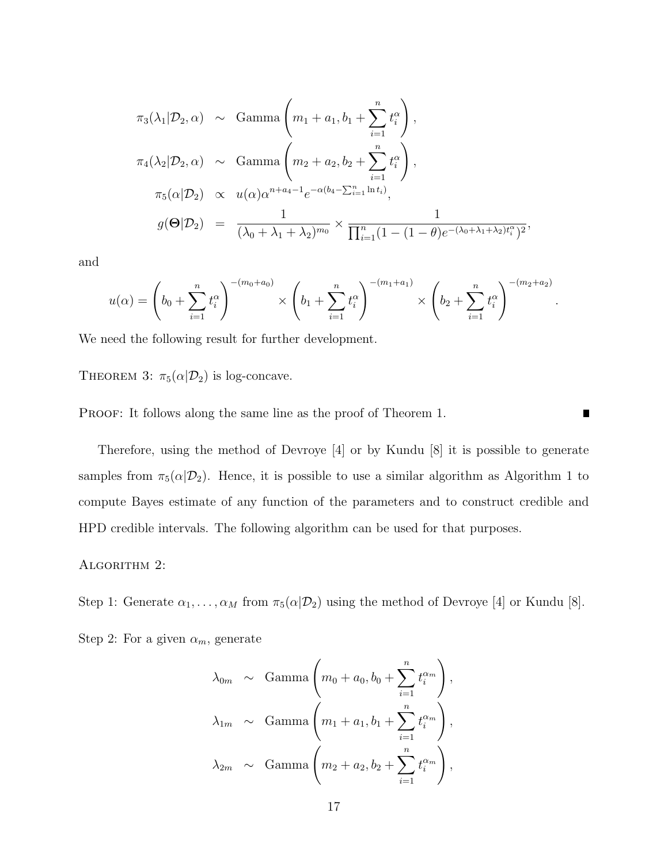$$
\pi_3(\lambda_1 | \mathcal{D}_2, \alpha) \sim \text{Gamma}\left(m_1 + a_1, b_1 + \sum_{i=1}^n t_i^{\alpha}\right),
$$
  

$$
\pi_4(\lambda_2 | \mathcal{D}_2, \alpha) \sim \text{Gamma}\left(m_2 + a_2, b_2 + \sum_{i=1}^n t_i^{\alpha}\right),
$$
  

$$
\pi_5(\alpha | \mathcal{D}_2) \propto u(\alpha) \alpha^{n+a_4-1} e^{-\alpha(b_4 - \sum_{i=1}^n \ln t_i)},
$$
  

$$
g(\Theta | \mathcal{D}_2) = \frac{1}{(\lambda_0 + \lambda_1 + \lambda_2)^{m_0}} \times \frac{1}{\prod_{i=1}^n (1 - (1 - \theta) e^{-(\lambda_0 + \lambda_1 + \lambda_2)t_i^{\alpha}})^2},
$$

and

$$
u(\alpha) = \left(b_0 + \sum_{i=1}^n t_i^{\alpha}\right)^{-(m_0 + a_0)} \times \left(b_1 + \sum_{i=1}^n t_i^{\alpha}\right)^{-(m_1 + a_1)} \times \left(b_2 + \sum_{i=1}^n t_i^{\alpha}\right)^{-(m_2 + a_2)}.
$$

We need the following result for further development.

THEOREM 3:  $\pi_5(\alpha|\mathcal{D}_2)$  is log-concave.

PROOF: It follows along the same line as the proof of Theorem 1.

Therefore, using the method of Devroye [4] or by Kundu [8] it is possible to generate samples from  $\pi_5(\alpha|\mathcal{D}_2)$ . Hence, it is possible to use a similar algorithm as Algorithm 1 to compute Bayes estimate of any function of the parameters and to construct credible and HPD credible intervals. The following algorithm can be used for that purposes.

 $\blacksquare$ 

#### ALGORITHM 2:

Step 1: Generate  $\alpha_1, \ldots, \alpha_M$  from  $\pi_5(\alpha | \mathcal{D}_2)$  using the method of Devroye [4] or Kundu [8].

Step 2: For a given  $\alpha_m$ , generate

$$
\lambda_{0m} \sim \text{Gamma}\left(m_0 + a_0, b_0 + \sum_{i=1}^n t_i^{\alpha_m}\right),
$$
  

$$
\lambda_{1m} \sim \text{Gamma}\left(m_1 + a_1, b_1 + \sum_{i=1}^n t_i^{\alpha_m}\right),
$$
  

$$
\lambda_{2m} \sim \text{Gamma}\left(m_2 + a_2, b_2 + \sum_{i=1}^n t_i^{\alpha_m}\right),
$$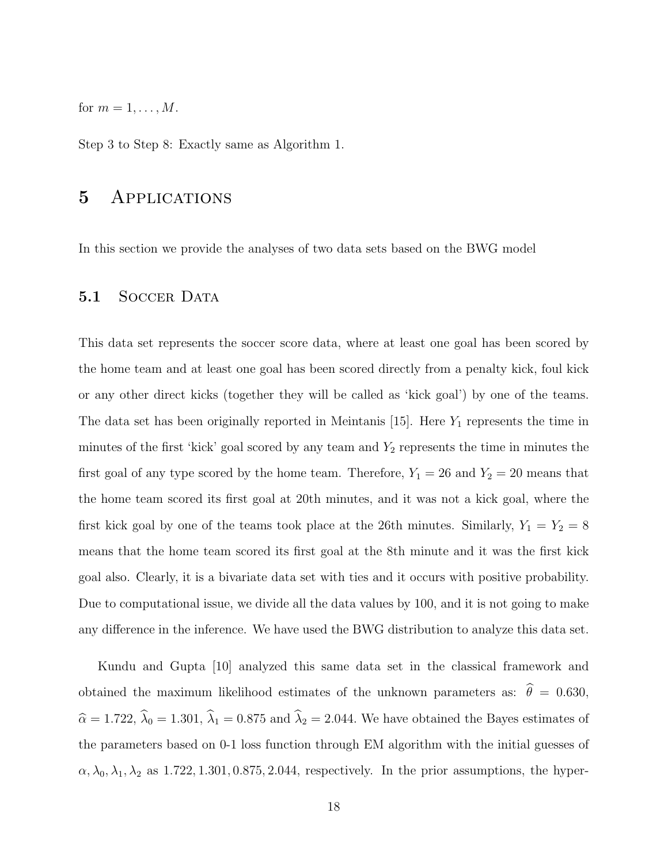for  $m = 1, \ldots, M$ .

Step 3 to Step 8: Exactly same as Algorithm 1.

### 5 Applications

In this section we provide the analyses of two data sets based on the BWG model

### 5.1 SOCCER DATA

This data set represents the soccer score data, where at least one goal has been scored by the home team and at least one goal has been scored directly from a penalty kick, foul kick or any other direct kicks (together they will be called as 'kick goal') by one of the teams. The data set has been originally reported in Meintanis [15]. Here  $Y_1$  represents the time in minutes of the first 'kick' goal scored by any team and  $Y_2$  represents the time in minutes the first goal of any type scored by the home team. Therefore,  $Y_1 = 26$  and  $Y_2 = 20$  means that the home team scored its first goal at 20th minutes, and it was not a kick goal, where the first kick goal by one of the teams took place at the 26th minutes. Similarly,  $Y_1 = Y_2 = 8$ means that the home team scored its first goal at the 8th minute and it was the first kick goal also. Clearly, it is a bivariate data set with ties and it occurs with positive probability. Due to computational issue, we divide all the data values by 100, and it is not going to make any difference in the inference. We have used the BWG distribution to analyze this data set.

Kundu and Gupta [10] analyzed this same data set in the classical framework and obtained the maximum likelihood estimates of the unknown parameters as:  $\hat{\theta} = 0.630$ ,  $\hat{\alpha} = 1.722, \hat{\lambda}_0 = 1.301, \hat{\lambda}_1 = 0.875$  and  $\hat{\lambda}_2 = 2.044$ . We have obtained the Bayes estimates of the parameters based on 0-1 loss function through EM algorithm with the initial guesses of  $\alpha, \lambda_0, \lambda_1, \lambda_2$  as 1.722, 1.301, 0.875, 2.044, respectively. In the prior assumptions, the hyper-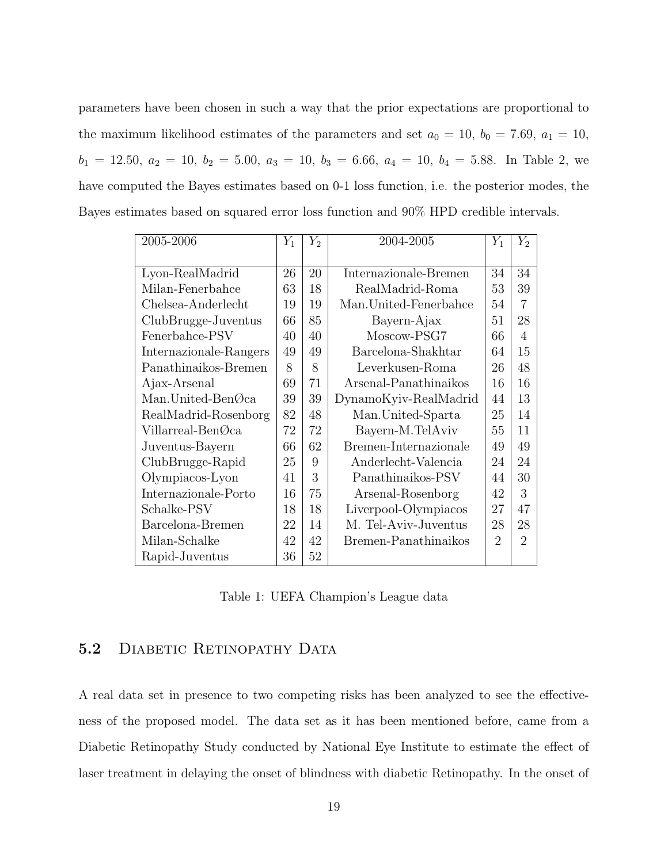parameters have been chosen in such a way that the prior expectations are proportional to the maximum likelihood estimates of the parameters and set  $a_0 = 10$ ,  $b_0 = 7.69$ ,  $a_1 = 10$ ,  $b_1 = 12.50, a_2 = 10, b_2 = 5.00, a_3 = 10, b_3 = 6.66, a_4 = 10, b_4 = 5.88$ . In Table 2, we have computed the Bayes estimates based on 0-1 loss function, i.e. the posterior modes, the Bayes estimates based on squared error loss function and 90% HPD credible intervals.

| 2005-2006                       | $Y_1$ | $Y_2$ | 2004-2005              | $Y_1$          | $Y_2$          |
|---------------------------------|-------|-------|------------------------|----------------|----------------|
|                                 |       |       |                        |                |                |
| Lyon-RealMadrid                 |       | 20    | Internazionale-Bremen  | 34             | 34             |
| Milan-Fenerbahce                | 63    | 18    | RealMadrid-Roma        | 53             | 39             |
| Chelsea-Anderlecht              | 19    | 19    | Man. United-Fenerbahce | 54             | $\overline{7}$ |
| ClubBrugge-Juventus             | 66    | 85    | Bayern-Ajax            | 51             | 28             |
| Fenerbahce-PSV                  | 40    | 40    | Moscow-PSG7            | 66             | 4              |
| Internazionale-Rangers          | 49    | 49    | Barcelona-Shakhtar     | 64             | 15             |
| Panathinaikos-Bremen            | 8     | 8     | Leverkusen-Roma        | 26             | 48             |
| Ajax-Arsenal                    | 69    | 71    | Arsenal-Panathinaikos  | 16             | 16             |
| Man.United-Ben $\mathcal{O}$ ca | 39    | 39    | DynamoKyiv-RealMadrid  | 44             | 13             |
| RealMadrid-Rosenborg            | 82    | 48    | Man. United-Sparta     | 25             | 14             |
| Villarreal-BenØca               | 72    | 72    | Bayern-M.TelAviv       | 55             | 11             |
| Juventus-Bayern                 | 66    | 62    | Bremen-Internazionale  | 49             | 49             |
| ClubBrugge-Rapid                | 25    | 9     | Anderlecht-Valencia    | 24             | 24             |
| Olympiacos-Lyon                 | 41    | 3     | Panathinaikos-PSV      | 44             | 30             |
| Internazionale-Porto            | 16    | 75    | Arsenal-Rosenborg      | 42             | 3              |
| Schalke-PSV                     | 18    | 18    | Liverpool-Olympiacos   | 27             | 47             |
| Barcelona-Bremen                | 22    | 14    | M. Tel-Aviv-Juventus   | 28             | 28             |
| Milan-Schalke                   | 42    | 42    | Bremen-Panathinaikos   | $\overline{2}$ | $\overline{2}$ |
| Rapid-Juventus                  | 36    | 52    |                        |                |                |

Table 1: UEFA Champion's League data

### 5.2 DIABETIC RETINOPATHY DATA

A real data set in presence to two competing risks has been analyzed to see the effectiveness of the proposed model. The data set as it has been mentioned before, came from a Diabetic Retinopathy Study conducted by National Eye Institute to estimate the effect of laser treatment in delaying the onset of blindness with diabetic Retinopathy. In the onset of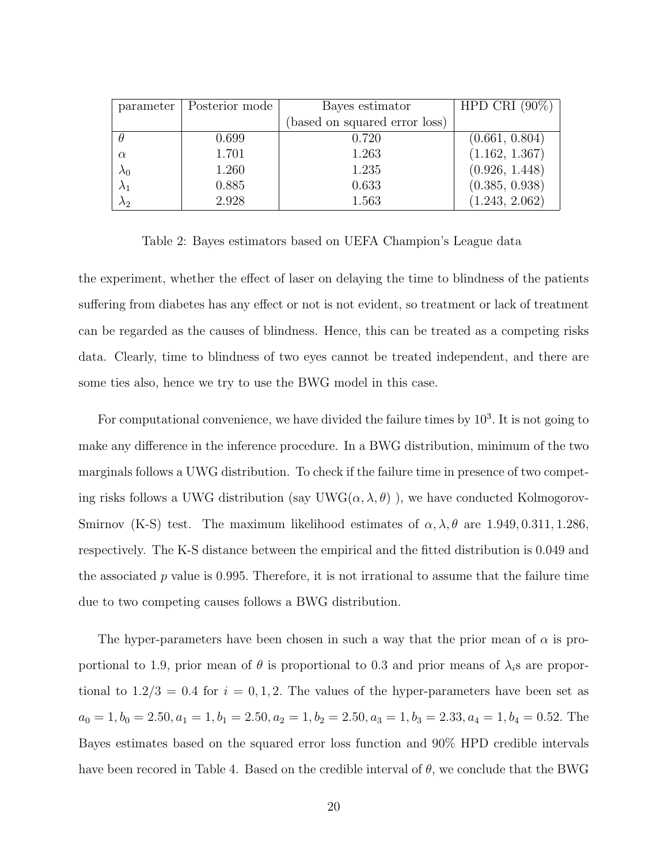| parameter   | Posterior mode | Bayes estimator               | HPD CRI $(90\%)$ |
|-------------|----------------|-------------------------------|------------------|
|             |                | (based on squared error loss) |                  |
|             | 0.699          | 0.720                         | (0.661, 0.804)   |
| $\alpha$    | 1.701          | 1.263                         | (1.162, 1.367)   |
| $\lambda_0$ | 1.260          | 1.235                         | (0.926, 1.448)   |
|             | 0.885          | 0.633                         | (0.385, 0.938)   |
| $\lambda_2$ | 2.928          | 1.563                         | (1.243, 2.062)   |

Table 2: Bayes estimators based on UEFA Champion's League data

the experiment, whether the effect of laser on delaying the time to blindness of the patients suffering from diabetes has any effect or not is not evident, so treatment or lack of treatment can be regarded as the causes of blindness. Hence, this can be treated as a competing risks data. Clearly, time to blindness of two eyes cannot be treated independent, and there are some ties also, hence we try to use the BWG model in this case.

For computational convenience, we have divided the failure times by  $10<sup>3</sup>$ . It is not going to make any difference in the inference procedure. In a BWG distribution, minimum of the two marginals follows a UWG distribution. To check if the failure time in presence of two competing risks follows a UWG distribution (say UWG $(\alpha, \lambda, \theta)$ ), we have conducted Kolmogorov-Smirnov (K-S) test. The maximum likelihood estimates of  $\alpha$ ,  $\lambda$ ,  $\theta$  are 1.949, 0.311, 1.286, respectively. The K-S distance between the empirical and the fitted distribution is 0.049 and the associated  $p$  value is 0.995. Therefore, it is not irrational to assume that the failure time due to two competing causes follows a BWG distribution.

The hyper-parameters have been chosen in such a way that the prior mean of  $\alpha$  is proportional to 1.9, prior mean of  $\theta$  is proportional to 0.3 and prior means of  $\lambda_i$ s are proportional to  $1.2/3 = 0.4$  for  $i = 0, 1, 2$ . The values of the hyper-parameters have been set as  $a_0 = 1, b_0 = 2.50, a_1 = 1, b_1 = 2.50, a_2 = 1, b_2 = 2.50, a_3 = 1, b_3 = 2.33, a_4 = 1, b_4 = 0.52$ . The Bayes estimates based on the squared error loss function and 90% HPD credible intervals have been recored in Table 4. Based on the credible interval of  $\theta$ , we conclude that the BWG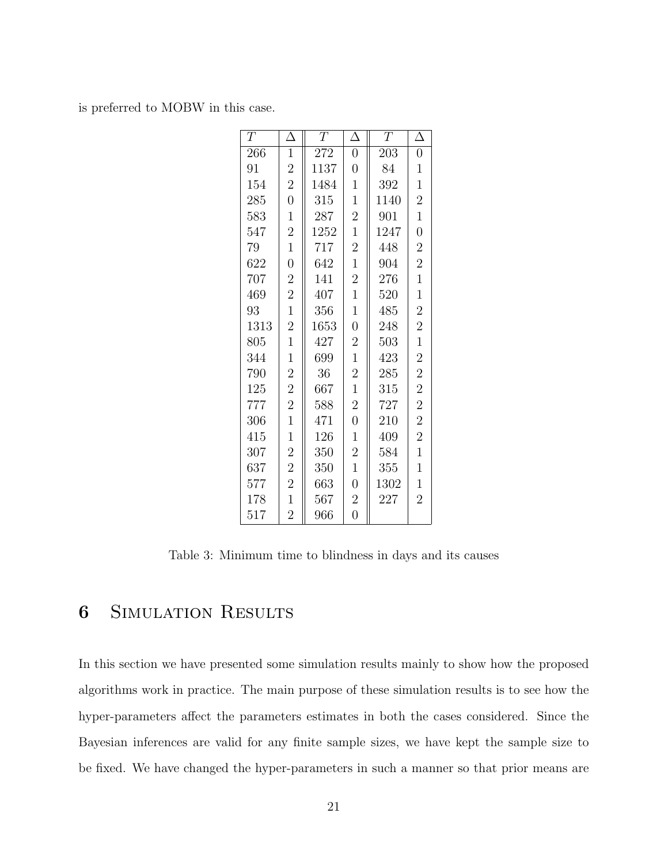is preferred to MOBW in this case.

| $\, T \,$ | $\Delta$       | T    | Δ                | T    | $\Delta$       |
|-----------|----------------|------|------------------|------|----------------|
| 266       | $\mathbf{1}$   | 272  | $\overline{0}$   | 203  | $\overline{0}$ |
| 91        | $\overline{2}$ | 1137 | $\overline{0}$   | 84   | $\mathbf 1$    |
| 154       | $\overline{2}$ | 1484 | $\mathbf{1}$     | 392  | $\mathbf 1$    |
| 285       | $\overline{0}$ | 315  | $\mathbf{1}$     | 1140 | $\overline{2}$ |
| 583       | $\mathbf{1}$   | 287  | $\overline{2}$   | 901  | $\mathbf{1}$   |
| 547       | $\overline{2}$ | 1252 | $\mathbf{1}$     | 1247 | $\overline{0}$ |
| 79        | $\mathbf{1}$   | 717  | $\overline{2}$   | 448  | $\overline{2}$ |
| 622       | $\overline{0}$ | 642  | $\mathbf{1}$     | 904  | $\overline{2}$ |
| 707       | $\overline{2}$ | 141  | $\overline{2}$   | 276  | $\mathbf{1}$   |
| 469       | $\overline{2}$ | 407  | $\overline{1}$   | 520  | $\mathbf{1}$   |
| 93        | $\mathbf{1}$   | 356  | $\mathbf{1}$     | 485  | $\overline{2}$ |
| 1313      | $\overline{2}$ | 1653 | $\boldsymbol{0}$ | 248  | $\overline{2}$ |
| 805       | $\mathbf{1}$   | 427  | $\overline{2}$   | 503  | $\mathbf{1}$   |
| 344       | $\mathbf 1$    | 699  | $\mathbf{1}$     | 423  | $\overline{2}$ |
| 790       | $\overline{2}$ | 36   | $\overline{2}$   | 285  | $\overline{2}$ |
| 125       | $\overline{2}$ | 667  | $\mathbf{1}$     | 315  | $\overline{2}$ |
| 777       | $\overline{2}$ | 588  | $\overline{2}$   | 727  | $\overline{2}$ |
| 306       | $\overline{1}$ | 471  | $\overline{0}$   | 210  | $\overline{2}$ |
| 415       | $\mathbf{1}$   | 126  | $\mathbf{1}$     | 409  | $\overline{2}$ |
| 307       | $\overline{c}$ | 350  | $\overline{2}$   | 584  | $\mathbf{1}$   |
| 637       | $\overline{2}$ | 350  | $\overline{1}$   | 355  | $\mathbf 1$    |
| 577       | $\overline{2}$ | 663  | $\overline{0}$   | 1302 | $\mathbf{1}$   |
| 178       | $\mathbf 1$    | 567  | $\overline{2}$   | 227  | $\overline{2}$ |
| 517       | $\overline{2}$ | 966  | $\overline{0}$   |      |                |

Table 3: Minimum time to blindness in days and its causes

## SIMULATION RESULTS

In this section we have presented some simulation results mainly to show how the proposed algorithms work in practice. The main purpose of these simulation results is to see how the hyper-parameters affect the parameters estimates in both the cases considered. Since the Bayesian inferences are valid for any finite sample sizes, we have kept the sample size to be fixed. We have changed the hyper-parameters in such a manner so that prior means are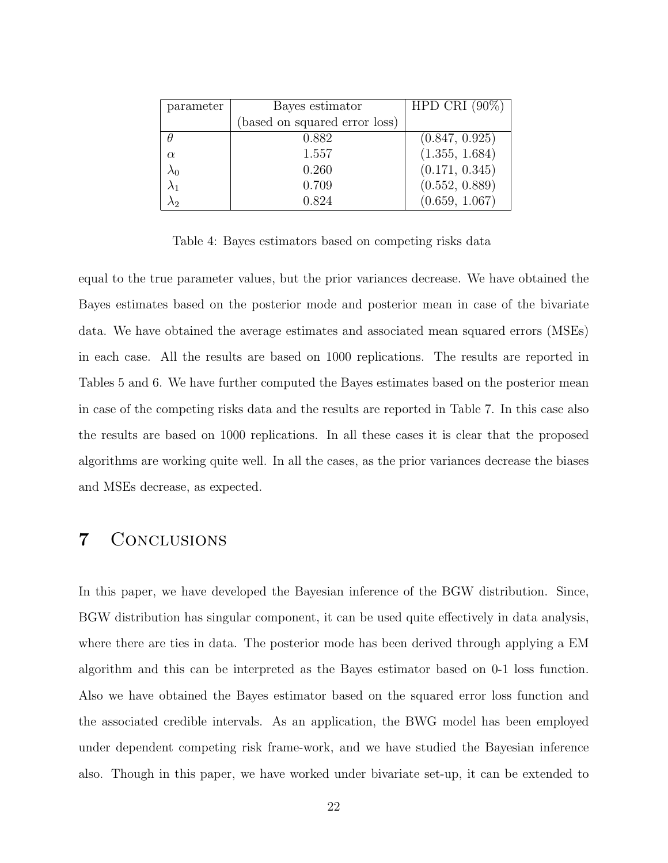| parameter | Bayes estimator               | HPD CRI $(90\%)$ |
|-----------|-------------------------------|------------------|
|           | (based on squared error loss) |                  |
|           | 0.882                         | (0.847, 0.925)   |
| $\alpha$  | 1.557                         | (1.355, 1.684)   |
|           | 0.260                         | (0.171, 0.345)   |
|           | 0.709                         | (0.552, 0.889)   |
| Л2        | 0.824                         | (0.659, 1.067)   |

Table 4: Bayes estimators based on competing risks data

equal to the true parameter values, but the prior variances decrease. We have obtained the Bayes estimates based on the posterior mode and posterior mean in case of the bivariate data. We have obtained the average estimates and associated mean squared errors (MSEs) in each case. All the results are based on 1000 replications. The results are reported in Tables 5 and 6. We have further computed the Bayes estimates based on the posterior mean in case of the competing risks data and the results are reported in Table 7. In this case also the results are based on 1000 replications. In all these cases it is clear that the proposed algorithms are working quite well. In all the cases, as the prior variances decrease the biases and MSEs decrease, as expected.

## 7 Conclusions

In this paper, we have developed the Bayesian inference of the BGW distribution. Since, BGW distribution has singular component, it can be used quite effectively in data analysis, where there are ties in data. The posterior mode has been derived through applying a EM algorithm and this can be interpreted as the Bayes estimator based on 0-1 loss function. Also we have obtained the Bayes estimator based on the squared error loss function and the associated credible intervals. As an application, the BWG model has been employed under dependent competing risk frame-work, and we have studied the Bayesian inference also. Though in this paper, we have worked under bivariate set-up, it can be extended to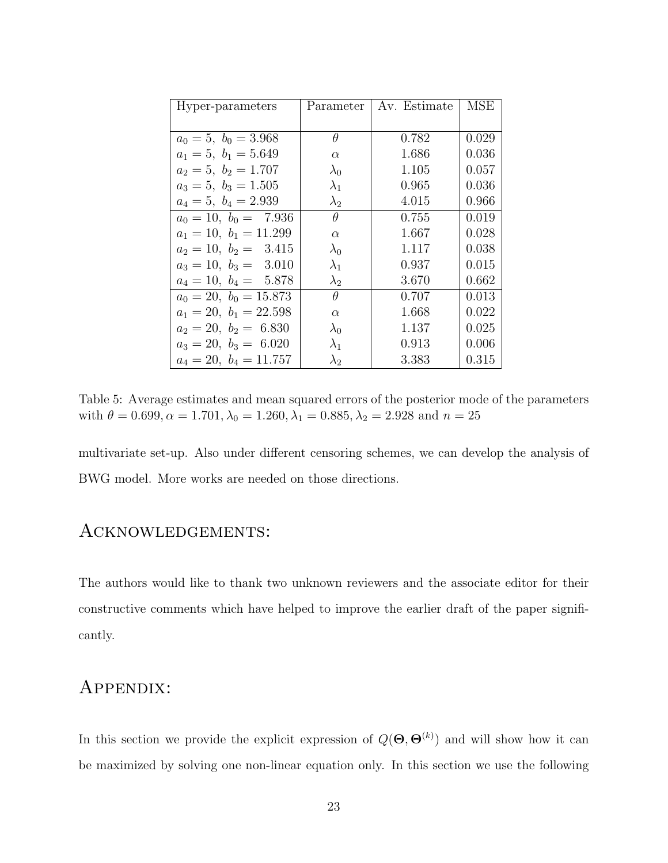| Hyper-parameters         | Parameter   | Av. Estimate | MSE   |
|--------------------------|-------------|--------------|-------|
|                          |             |              |       |
| $a_0 = 5, b_0 = 3.968$   | θ           | 0.782        | 0.029 |
| $a_1 = 5, b_1 = 5.649$   | $\alpha$    | 1.686        | 0.036 |
| $a_2 = 5, b_2 = 1.707$   | $\lambda_0$ | 1.105        | 0.057 |
| $a_3 = 5, b_3 = 1.505$   | $\lambda_1$ | 0.965        | 0.036 |
| $a_4 = 5, b_4 = 2.939$   | $\lambda_2$ | 4.015        | 0.966 |
| $a_0 = 10, b_0 = 7.936$  | $\theta$    | 0.755        | 0.019 |
| $a_1 = 10, b_1 = 11.299$ | $\alpha$    | 1.667        | 0.028 |
| $a_2 = 10, b_2 = 3.415$  | $\lambda_0$ | 1.117        | 0.038 |
| $a_3 = 10, b_3 = 3.010$  | $\lambda_1$ | 0.937        | 0.015 |
| $a_4 = 10, b_4 = 5.878$  | $\lambda_2$ | 3.670        | 0.662 |
| $a_0 = 20, b_0 = 15.873$ | $\theta$    | 0.707        | 0.013 |
| $a_1 = 20, b_1 = 22.598$ | $\alpha$    | 1.668        | 0.022 |
| $a_2 = 20, b_2 = 6.830$  | $\lambda_0$ | 1.137        | 0.025 |
| $a_3 = 20, b_3 = 6.020$  | $\lambda_1$ | 0.913        | 0.006 |
| $a_4 = 20, b_4 = 11.757$ | $\lambda_2$ | 3.383        | 0.315 |

Table 5: Average estimates and mean squared errors of the posterior mode of the parameters with  $\theta = 0.699, \alpha = 1.701, \lambda_0 = 1.260, \lambda_1 = 0.885, \lambda_2 = 2.928$  and  $n = 25$ 

multivariate set-up. Also under different censoring schemes, we can develop the analysis of BWG model. More works are needed on those directions.

## Acknowledgements:

The authors would like to thank two unknown reviewers and the associate editor for their constructive comments which have helped to improve the earlier draft of the paper significantly.

## Appendix:

In this section we provide the explicit expression of  $Q(\mathbf{\Theta}, \mathbf{\Theta}^{(k)})$  and will show how it can be maximized by solving one non-linear equation only. In this section we use the following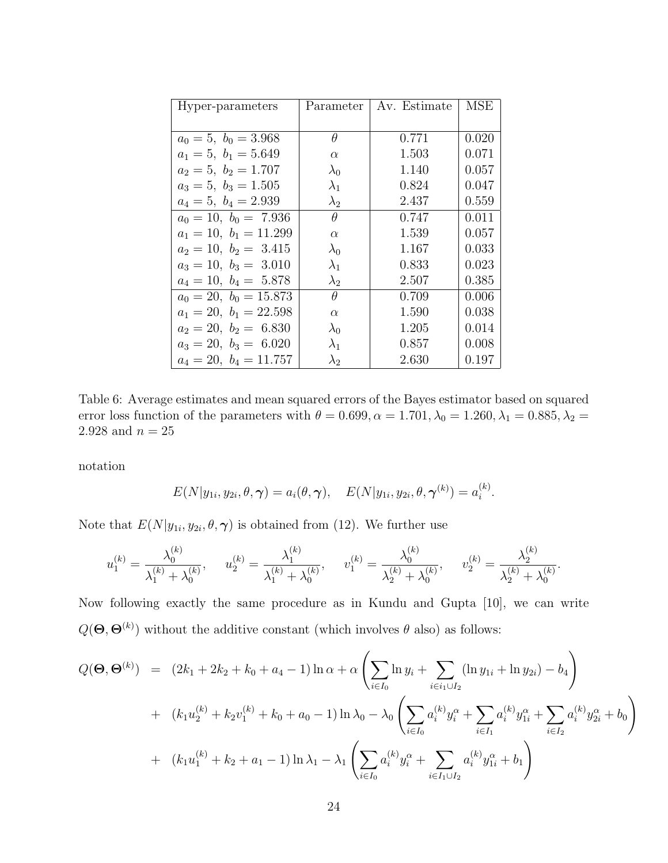| Hyper-parameters          | Parameter   | Av. Estimate | <b>MSE</b> |
|---------------------------|-------------|--------------|------------|
|                           |             |              |            |
| $a_0 = 5, b_0 = 3.968$    | $\theta$    | 0.771        | 0.020      |
| $a_1 = 5, b_1 = 5.649$    | $\alpha$    | 1.503        | 0.071      |
| $a_2 = 5$ , $b_2 = 1.707$ | $\lambda_0$ | 1.140        | 0.057      |
| $a_3 = 5, b_3 = 1.505$    | $\lambda_1$ | 0.824        | 0.047      |
| $a_4 = 5, b_4 = 2.939$    | $\lambda_2$ | 2.437        | 0.559      |
| $a_0 = 10, b_0 = 7.936$   | $\theta$    | 0.747        | 0.011      |
| $a_1 = 10, b_1 = 11.299$  | $\alpha$    | 1.539        | 0.057      |
| $a_2 = 10, b_2 = 3.415$   | $\lambda_0$ | 1.167        | 0.033      |
| $a_3 = 10, b_3 = 3.010$   | $\lambda_1$ | 0.833        | 0.023      |
| $a_4 = 10, b_4 = 5.878$   | $\lambda_2$ | 2.507        | 0.385      |
| $a_0 = 20, b_0 = 15.873$  | $\theta$    | 0.709        | 0.006      |
| $a_1 = 20, b_1 = 22.598$  | $\alpha$    | 1.590        | 0.038      |
| $a_2 = 20, b_2 = 6.830$   | $\lambda_0$ | 1.205        | 0.014      |
| $a_3 = 20, b_3 = 6.020$   | $\lambda_1$ | 0.857        | 0.008      |
| $a_4 = 20, b_4 = 11.757$  | $\lambda_2$ | 2.630        | 0.197      |

Table 6: Average estimates and mean squared errors of the Bayes estimator based on squared error loss function of the parameters with  $\theta = 0.699$ ,  $\alpha = 1.701$ ,  $\lambda_0 = 1.260$ ,  $\lambda_1 = 0.885$ ,  $\lambda_2 =$  $2.928$  and  $n=25\,$ 

notation

$$
E(N|y_{1i}, y_{2i}, \theta, \boldsymbol{\gamma}) = a_i(\theta, \boldsymbol{\gamma}), \quad E(N|y_{1i}, y_{2i}, \theta, \boldsymbol{\gamma}^{(k)}) = a_i^{(k)}.
$$

Note that  $E(N|y_{1i}, y_{2i}, \theta, \gamma)$  is obtained from (12). We further use

$$
u_1^{(k)} = \frac{\lambda_0^{(k)}}{\lambda_1^{(k)} + \lambda_0^{(k)}}, \quad u_2^{(k)} = \frac{\lambda_1^{(k)}}{\lambda_1^{(k)} + \lambda_0^{(k)}}, \quad v_1^{(k)} = \frac{\lambda_0^{(k)}}{\lambda_2^{(k)} + \lambda_0^{(k)}}, \quad v_2^{(k)} = \frac{\lambda_2^{(k)}}{\lambda_2^{(k)} + \lambda_0^{(k)}}.
$$

Now following exactly the same procedure as in Kundu and Gupta [10], we can write  $Q(\mathbf{\Theta}, \mathbf{\Theta}^{(k)})$  without the additive constant (which involves  $\theta$  also) as follows:

$$
Q(\mathbf{\Theta}, \mathbf{\Theta}^{(k)}) = (2k_1 + 2k_2 + k_0 + a_4 - 1) \ln \alpha + \alpha \left( \sum_{i \in I_0} \ln y_i + \sum_{i \in i_1 \cup I_2} (\ln y_{1i} + \ln y_{2i}) - b_4 \right)
$$
  
+ 
$$
(k_1 u_2^{(k)} + k_2 v_1^{(k)} + k_0 + a_0 - 1) \ln \lambda_0 - \lambda_0 \left( \sum_{i \in I_0} a_i^{(k)} y_i^{\alpha} + \sum_{i \in I_1} a_i^{(k)} y_{1i}^{\alpha} + \sum_{i \in I_2} a_i^{(k)} y_{2i}^{\alpha} + b_0 \right)
$$
  
+ 
$$
(k_1 u_1^{(k)} + k_2 + a_1 - 1) \ln \lambda_1 - \lambda_1 \left( \sum_{i \in I_0} a_i^{(k)} y_i^{\alpha} + \sum_{i \in I_1 \cup I_2} a_i^{(k)} y_{1i}^{\alpha} + b_1 \right)
$$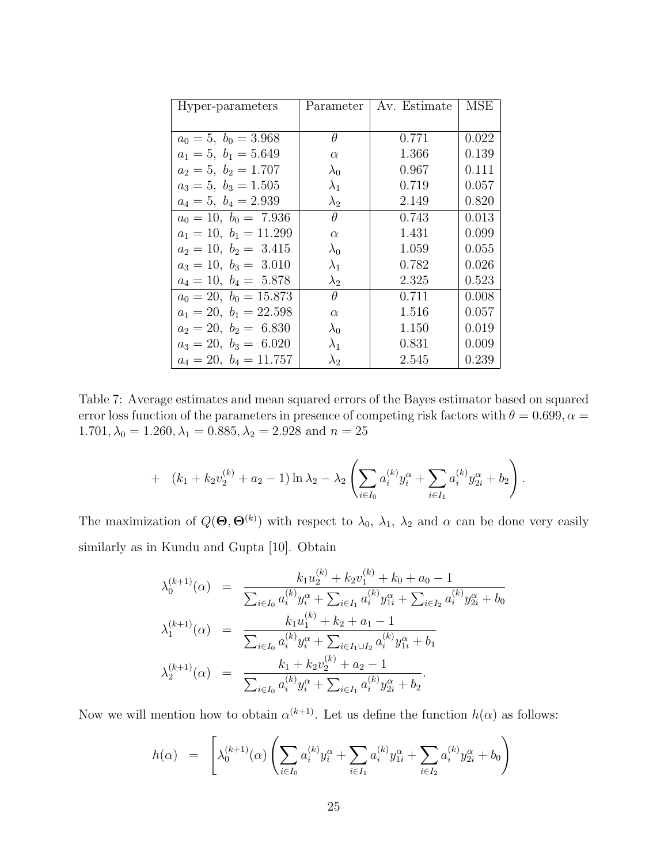| Hyper-parameters          | Parameter   | Av. Estimate | MSE   |
|---------------------------|-------------|--------------|-------|
|                           |             |              |       |
| $a_0 = 5, b_0 = 3.968$    | $\theta$    | 0.771        | 0.022 |
| $a_1 = 5$ , $b_1 = 5.649$ | $\alpha$    | 1.366        | 0.139 |
| $a_2 = 5$ , $b_2 = 1.707$ | $\lambda_0$ | 0.967        | 0.111 |
| $a_3 = 5, b_3 = 1.505$    | $\lambda_1$ | 0.719        | 0.057 |
| $a_4 = 5, b_4 = 2.939$    | $\lambda_2$ | 2.149        | 0.820 |
| $a_0 = 10, b_0 = 7.936$   | $\theta$    | 0.743        | 0.013 |
| $a_1 = 10, b_1 = 11.299$  | $\alpha$    | 1.431        | 0.099 |
| $a_2 = 10, b_2 = 3.415$   | $\lambda_0$ | 1.059        | 0.055 |
| $a_3 = 10, b_3 = 3.010$   | $\lambda_1$ | 0.782        | 0.026 |
| $a_4 = 10, b_4 = 5.878$   | $\lambda_2$ | 2.325        | 0.523 |
| $a_0 = 20, b_0 = 15.873$  | $\theta$    | 0.711        | 0.008 |
| $a_1 = 20, b_1 = 22.598$  | $\alpha$    | 1.516        | 0.057 |
| $a_2 = 20, b_2 = 6.830$   | $\lambda_0$ | 1.150        | 0.019 |
| $a_3 = 20, b_3 = 6.020$   | $\lambda_1$ | 0.831        | 0.009 |
| $a_4 = 20, b_4 = 11.757$  | $\lambda_2$ | 2.545        | 0.239 |

Table 7: Average estimates and mean squared errors of the Bayes estimator based on squared error loss function of the parameters in presence of competing risk factors with  $\theta = 0.699$ ,  $\alpha =$  $1.701, \lambda_0 = 1.260, \lambda_1 = 0.885, \lambda_2 = 2.928$  and  $n = 25$ 

+ 
$$
(k_1 + k_2 v_2^{(k)} + a_2 - 1) \ln \lambda_2 - \lambda_2 \left( \sum_{i \in I_0} a_i^{(k)} y_i^{\alpha} + \sum_{i \in I_1} a_i^{(k)} y_{2i}^{\alpha} + b_2 \right).
$$

The maximization of  $Q(\mathbf{\Theta}, \mathbf{\Theta}^{(k)})$  with respect to  $\lambda_0$ ,  $\lambda_1$ ,  $\lambda_2$  and  $\alpha$  can be done very easily similarly as in Kundu and Gupta [10]. Obtain

$$
\lambda_0^{(k+1)}(\alpha) = \frac{k_1 u_2^{(k)} + k_2 v_1^{(k)} + k_0 + a_0 - 1}{\sum_{i \in I_0} a_i^{(k)} y_i^{\alpha} + \sum_{i \in I_1} a_i^{(k)} y_{1i}^{\alpha} + \sum_{i \in I_2} a_i^{(k)} y_{2i}^{\alpha} + b_0}
$$

$$
\lambda_1^{(k+1)}(\alpha) = \frac{k_1 u_1^{(k)} + k_2 + a_1 - 1}{\sum_{i \in I_0} a_i^{(k)} y_i^{\alpha} + \sum_{i \in I_1 \cup I_2} a_i^{(k)} y_{1i}^{\alpha} + b_1}
$$

$$
\lambda_2^{(k+1)}(\alpha) = \frac{k_1 + k_2 v_2^{(k)} + a_2 - 1}{\sum_{i \in I_0} a_i^{(k)} y_i^{\alpha} + \sum_{i \in I_1} a_i^{(k)} y_{2i}^{\alpha} + b_2}.
$$

Now we will mention how to obtain  $\alpha^{(k+1)}$ . Let us define the function  $h(\alpha)$  as follows:

$$
h(\alpha) = \left[ \lambda_0^{(k+1)}(\alpha) \left( \sum_{i \in I_0} a_i^{(k)} y_i^{\alpha} + \sum_{i \in I_1} a_i^{(k)} y_{1i}^{\alpha} + \sum_{i \in I_2} a_i^{(k)} y_{2i}^{\alpha} + b_0 \right) \right]
$$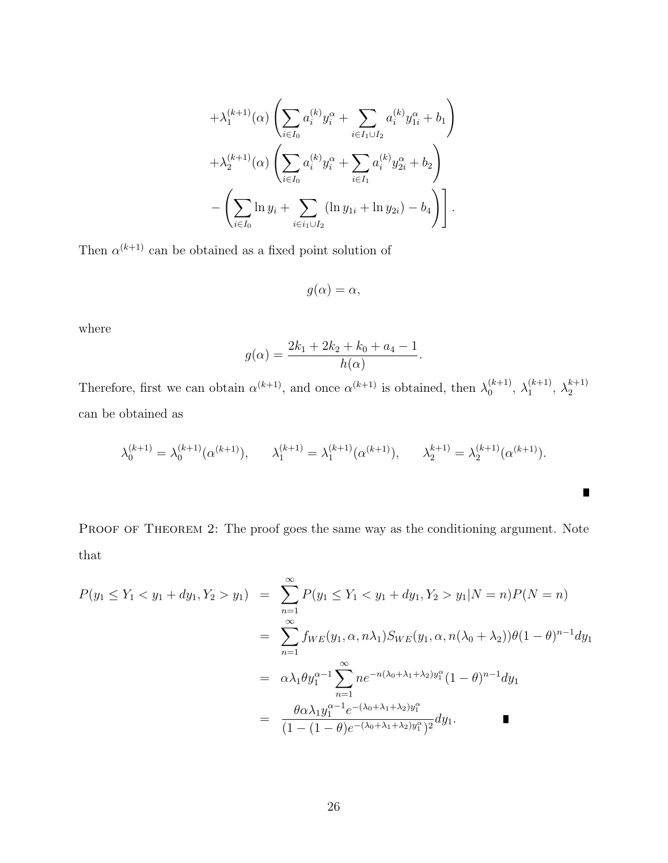$$
+ \lambda_1^{(k+1)}(\alpha) \left( \sum_{i \in I_0} a_i^{(k)} y_i^{\alpha} + \sum_{i \in I_1 \cup I_2} a_i^{(k)} y_{1i}^{\alpha} + b_1 \right) + \lambda_2^{(k+1)}(\alpha) \left( \sum_{i \in I_0} a_i^{(k)} y_i^{\alpha} + \sum_{i \in I_1} a_i^{(k)} y_{2i}^{\alpha} + b_2 \right) - \left( \sum_{i \in I_0} \ln y_i + \sum_{i \in i_1 \cup I_2} (\ln y_{1i} + \ln y_{2i}) - b_4 \right) \right].
$$

Then  $\alpha^{(k+1)}$  can be obtained as a fixed point solution of

$$
g(\alpha)=\alpha,
$$

where

$$
g(\alpha) = \frac{2k_1 + 2k_2 + k_0 + a_4 - 1}{h(\alpha)}.
$$

Therefore, first we can obtain  $\alpha^{(k+1)}$ , and once  $\alpha^{(k+1)}$  is obtained, then  $\lambda_0^{(k+1)}$  $\lambda_0^{(k+1)}, \lambda_1^{(k+1)}$  $\lambda_1^{(k+1)}, \lambda_2^{k+1}$ 2 can be obtained as

$$
\lambda_0^{(k+1)} = \lambda_0^{(k+1)}(\alpha^{(k+1)}), \qquad \lambda_1^{(k+1)} = \lambda_1^{(k+1)}(\alpha^{(k+1)}), \qquad \lambda_2^{(k+1)} = \lambda_2^{(k+1)}(\alpha^{(k+1)}).
$$

 $\blacksquare$ 

PROOF OF THEOREM 2: The proof goes the same way as the conditioning argument. Note that

$$
P(y_1 \le Y_1 < y_1 + dy_1, Y_2 > y_1) = \sum_{n=1}^{\infty} P(y_1 \le Y_1 < y_1 + dy_1, Y_2 > y_1 | N = n) P(N = n)
$$
\n
$$
= \sum_{n=1}^{\infty} f_{WE}(y_1, \alpha, n\lambda_1) S_{WE}(y_1, \alpha, n(\lambda_0 + \lambda_2)) \theta (1 - \theta)^{n-1} dy_1
$$
\n
$$
= \alpha \lambda_1 \theta y_1^{\alpha-1} \sum_{n=1}^{\infty} n e^{-n(\lambda_0 + \lambda_1 + \lambda_2) y_1^{\alpha}} (1 - \theta)^{n-1} dy_1
$$
\n
$$
= \frac{\theta \alpha \lambda_1 y_1^{\alpha-1} e^{-(\lambda_0 + \lambda_1 + \lambda_2) y_1^{\alpha}}}{(1 - (1 - \theta) e^{-(\lambda_0 + \lambda_1 + \lambda_2) y_1^{\alpha}})^2} dy_1.
$$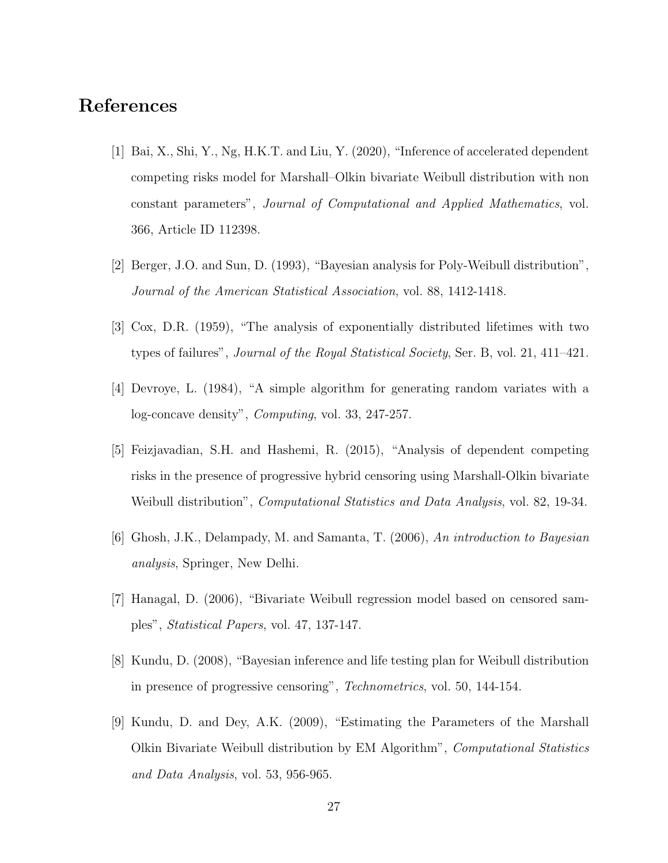## References

- [1] Bai, X., Shi, Y., Ng, H.K.T. and Liu, Y. (2020), "Inference of accelerated dependent competing risks model for Marshall–Olkin bivariate Weibull distribution with non constant parameters", Journal of Computational and Applied Mathematics, vol. 366, Article ID 112398.
- [2] Berger, J.O. and Sun, D. (1993), "Bayesian analysis for Poly-Weibull distribution", Journal of the American Statistical Association, vol. 88, 1412-1418.
- [3] Cox, D.R. (1959), "The analysis of exponentially distributed lifetimes with two types of failures", *Journal of the Royal Statistical Society*, Ser. B, vol. 21, 411–421.
- [4] Devroye, L. (1984), "A simple algorithm for generating random variates with a log-concave density", Computing, vol. 33, 247-257.
- [5] Feizjavadian, S.H. and Hashemi, R. (2015), "Analysis of dependent competing risks in the presence of progressive hybrid censoring using Marshall-Olkin bivariate Weibull distribution", *Computational Statistics and Data Analysis*, vol. 82, 19-34.
- [6] Ghosh, J.K., Delampady, M. and Samanta, T. (2006), An introduction to Bayesian analysis, Springer, New Delhi.
- [7] Hanagal, D. (2006), "Bivariate Weibull regression model based on censored samples", Statistical Papers, vol. 47, 137-147.
- [8] Kundu, D. (2008), "Bayesian inference and life testing plan for Weibull distribution in presence of progressive censoring", Technometrics, vol. 50, 144-154.
- [9] Kundu, D. and Dey, A.K. (2009), "Estimating the Parameters of the Marshall Olkin Bivariate Weibull distribution by EM Algorithm", Computational Statistics and Data Analysis, vol. 53, 956-965.